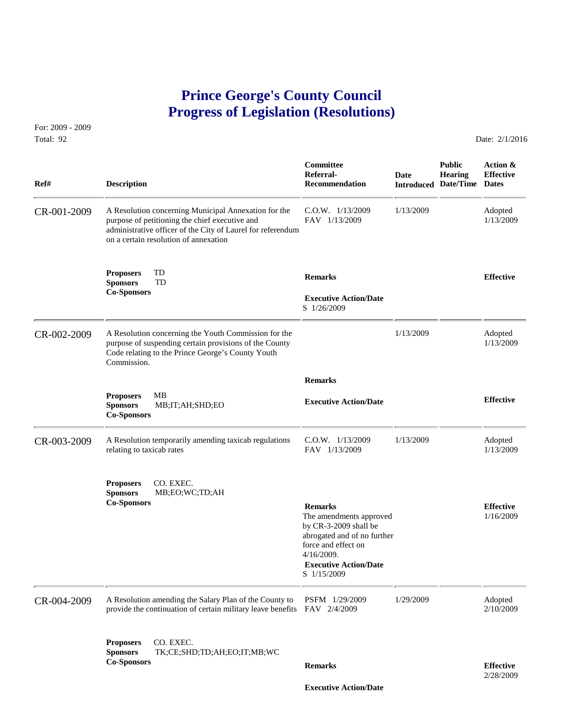## **Prince George's County Council Progress of Legislation (Resolutions)**

For: 2009 - 2009 Total: 92 Date: 2/1/2016

 **Committee Public Action & Referral- Date Hearing Effective Ref# Description Recommendation Introduced Date/Time Dates** CR-001-2009 A Resolution concerning Municipal Annexation for the C.O.W. 1/13/2009 1/13/2009 Adopted<br>purpose of petitioning the chief executive and FAV 1/13/2009 1/13/2009 1/13/2009 purpose of petitioning the chief executive and administrative officer of the City of Laurel for referendum on a certain resolution of annexation **Proposers** TD **Remarks Effective Sponsors** TD **Co-Sponsors Executive Action/Date** S 1/26/2009 CR-002-2009 A Resolution concerning the Youth Commission for the 1/13/2009 Adopted purpose of suspending certain provisions of the County 1/13/2009 1/13/2009 purpose of suspending certain provisions of the County Code relating to the Prince George's County Youth Commission.  **Remarks Proposers** MB **Effective Executive Action/Date Sponsors** MB;IT;AH;SHD;EO **Co-Sponsors**  CR-003-2009 A Resolution temporarily amending taxicab regulations C.O.W. 1/13/2009 1/13/2009 1/13/2009 1/13/2009 1/13/2009 1/13/2009 1/13/2009 relating to taxicab rates **Proposers** CO. EXEC. **Sponsors** MB;EO;WC;TD;AH **Co-Sponsors Remarks Effective** The amendments approved 1/16/2009 by CR-3-2009 shall be abrogated and of no further force and effect on 4/16/2009.  **Executive Action/Date** S 1/15/2009 CR-004-2009 A Resolution amending the Salary Plan of the County to PSFM 1/29/2009 1/29/2009 Adopted<br>provide the continuation of certain military leave benefits FAV 2/4/2009 2/10/2009 2/10/2009 provide the continuation of certain military leave benefits  $FAV$  2/4/2009 **Proposers** CO. EXEC. **Sponsors** TK;CE;SHD;TD;AH;EO;IT;MB;WC **Co-Sponsors Remarks Effective** 2/28/2009

 **Executive Action/Date**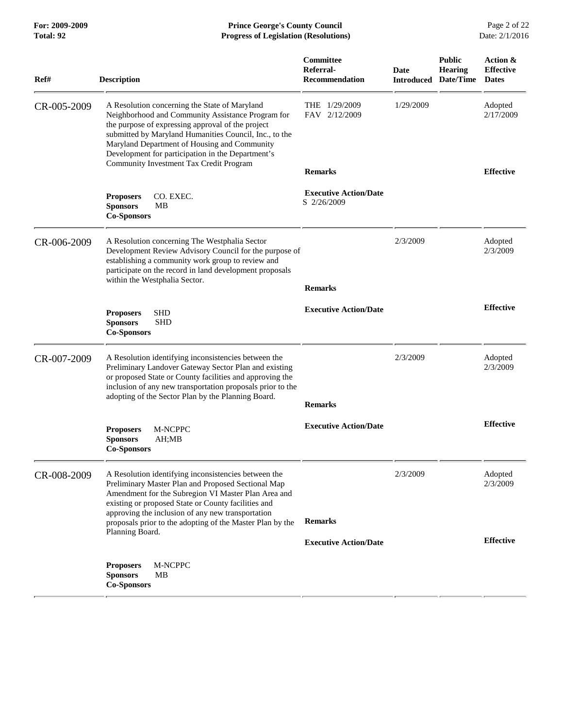| Ref#        | <b>Description</b>                                                                                                                                                                                                                                                                                                     | Committee<br>Referral-<br><b>Recommendation</b> | Date      | <b>Public</b><br><b>Hearing</b><br><b>Introduced Date/Time Dates</b> | Action &<br><b>Effective</b> |
|-------------|------------------------------------------------------------------------------------------------------------------------------------------------------------------------------------------------------------------------------------------------------------------------------------------------------------------------|-------------------------------------------------|-----------|----------------------------------------------------------------------|------------------------------|
| CR-005-2009 | A Resolution concerning the State of Maryland<br>Neighborhood and Community Assistance Program for<br>the purpose of expressing approval of the project<br>submitted by Maryland Humanities Council, Inc., to the<br>Maryland Department of Housing and Community<br>Development for participation in the Department's | THE<br>1/29/2009<br>FAV 2/12/2009               | 1/29/2009 |                                                                      | Adopted<br>2/17/2009         |
|             | <b>Community Investment Tax Credit Program</b>                                                                                                                                                                                                                                                                         | <b>Remarks</b>                                  |           |                                                                      | <b>Effective</b>             |
|             | CO. EXEC.<br><b>Proposers</b><br><b>Sponsors</b><br>MВ<br><b>Co-Sponsors</b>                                                                                                                                                                                                                                           | <b>Executive Action/Date</b><br>S 2/26/2009     |           |                                                                      |                              |
| CR-006-2009 | A Resolution concerning The Westphalia Sector<br>Development Review Advisory Council for the purpose of<br>establishing a community work group to review and<br>participate on the record in land development proposals<br>within the Westphalia Sector.                                                               | <b>Remarks</b>                                  | 2/3/2009  |                                                                      | Adopted<br>2/3/2009          |
|             | <b>SHD</b><br><b>Proposers</b><br><b>Sponsors</b><br><b>SHD</b><br><b>Co-Sponsors</b>                                                                                                                                                                                                                                  | <b>Executive Action/Date</b>                    |           |                                                                      | <b>Effective</b>             |
| CR-007-2009 | A Resolution identifying inconsistencies between the<br>Preliminary Landover Gateway Sector Plan and existing<br>or proposed State or County facilities and approving the<br>inclusion of any new transportation proposals prior to the<br>adopting of the Sector Plan by the Planning Board.                          | <b>Remarks</b>                                  | 2/3/2009  |                                                                      | Adopted<br>2/3/2009          |
|             | M-NCPPC<br><b>Proposers</b><br><b>Sponsors</b><br>AH;MB<br><b>Co-Sponsors</b>                                                                                                                                                                                                                                          | <b>Executive Action/Date</b>                    |           |                                                                      | <b>Effective</b>             |
| CR-008-2009 | A Resolution identifying inconsistencies between the<br>Preliminary Master Plan and Proposed Sectional Map<br>Amendment for the Subregion VI Master Plan Area and<br>existing or proposed State or County facilities and<br>approving the inclusion of any new transportation                                          |                                                 | 2/3/2009  |                                                                      | Adopted<br>2/3/2009          |
|             | proposals prior to the adopting of the Master Plan by the<br>Planning Board.                                                                                                                                                                                                                                           | <b>Remarks</b>                                  |           |                                                                      |                              |
|             |                                                                                                                                                                                                                                                                                                                        | <b>Executive Action/Date</b>                    |           |                                                                      | <b>Effective</b>             |
|             | M-NCPPC<br><b>Proposers</b><br><b>Sponsors</b><br>MВ<br><b>Co-Sponsors</b>                                                                                                                                                                                                                                             |                                                 |           |                                                                      |                              |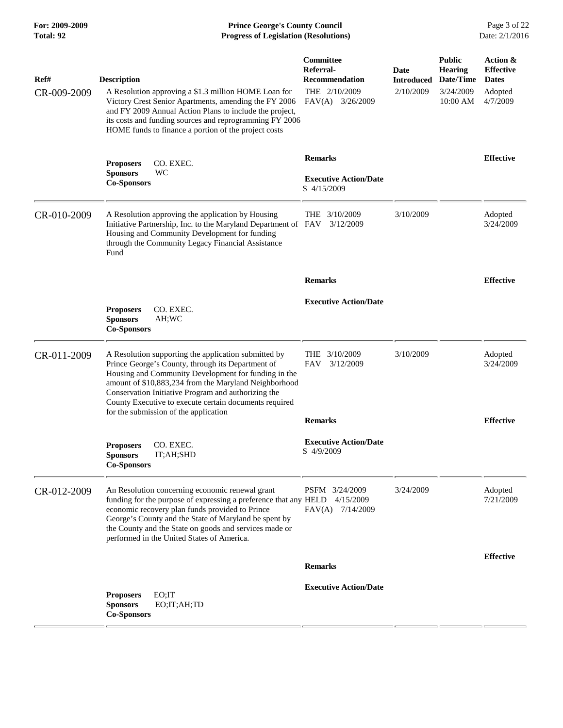**For: 2009-2009 Prince George's County Council** Page 3 of 22<br>**Progress of Legislation (Resolutions)** Date: 2/1/2016 **Total: 92 Progress of Legislation (Resolutions)** 

| Ref#<br>CR-009-2009 | <b>Description</b><br>A Resolution approving a \$1.3 million HOME Loan for<br>Victory Crest Senior Apartments, amending the FY 2006<br>and FY 2009 Annual Action Plans to include the project,<br>its costs and funding sources and reprogramming FY 2006<br>HOME funds to finance a portion of the project costs                           | Committee<br>Referral-<br><b>Recommendation</b><br>THE 2/10/2009<br>FAV(A)<br>3/26/2009 | Date<br><b>Introduced</b><br>2/10/2009 | <b>Public</b><br><b>Hearing</b><br>Date/Time<br>3/24/2009<br>10:00 AM | Action &<br><b>Effective</b><br><b>Dates</b><br>Adopted<br>4/7/2009 |
|---------------------|---------------------------------------------------------------------------------------------------------------------------------------------------------------------------------------------------------------------------------------------------------------------------------------------------------------------------------------------|-----------------------------------------------------------------------------------------|----------------------------------------|-----------------------------------------------------------------------|---------------------------------------------------------------------|
|                     | <b>Proposers</b><br>CO. EXEC.<br>WC<br><b>Sponsors</b><br><b>Co-Sponsors</b>                                                                                                                                                                                                                                                                | <b>Remarks</b><br><b>Executive Action/Date</b><br>S 4/15/2009                           |                                        |                                                                       | <b>Effective</b>                                                    |
| CR-010-2009         | A Resolution approving the application by Housing<br>Initiative Partnership, Inc. to the Maryland Department of FAV<br>Housing and Community Development for funding<br>through the Community Legacy Financial Assistance<br>Fund                                                                                                           | THE 3/10/2009<br>3/12/2009                                                              | 3/10/2009                              |                                                                       | Adopted<br>3/24/2009                                                |
|                     |                                                                                                                                                                                                                                                                                                                                             | <b>Remarks</b>                                                                          |                                        |                                                                       | <b>Effective</b>                                                    |
|                     | CO. EXEC.<br><b>Proposers</b><br><b>Sponsors</b><br>AH;WC<br><b>Co-Sponsors</b>                                                                                                                                                                                                                                                             | <b>Executive Action/Date</b>                                                            |                                        |                                                                       |                                                                     |
| CR-011-2009         | A Resolution supporting the application submitted by<br>Prince George's County, through its Department of<br>Housing and Community Development for funding in the<br>amount of \$10,883,234 from the Maryland Neighborhood<br>Conservation Initiative Program and authorizing the<br>County Executive to execute certain documents required | 3/10/2009<br>THE<br>FAV<br>3/12/2009                                                    | 3/10/2009                              |                                                                       | Adopted<br>3/24/2009                                                |
|                     | for the submission of the application                                                                                                                                                                                                                                                                                                       | <b>Remarks</b>                                                                          |                                        |                                                                       | <b>Effective</b>                                                    |
|                     | <b>Proposers</b><br>CO. EXEC.<br>IT;AH;SHD<br><b>Sponsors</b><br>Co-Sponsors                                                                                                                                                                                                                                                                | <b>Executive Action/Date</b><br>S 4/9/2009                                              |                                        |                                                                       |                                                                     |
| CR-012-2009         | An Resolution concerning economic renewal grant<br>funding for the purpose of expressing a preference that any HELD<br>economic recovery plan funds provided to Prince<br>George's County and the State of Maryland be spent by<br>the County and the State on goods and services made or<br>performed in the United States of America.     | PSFM 3/24/2009<br>4/15/2009<br>FAV(A)<br>7/14/2009                                      | 3/24/2009                              |                                                                       | Adopted<br>7/21/2009                                                |
|                     |                                                                                                                                                                                                                                                                                                                                             | <b>Remarks</b>                                                                          |                                        |                                                                       | <b>Effective</b>                                                    |
|                     | EO;IT<br><b>Proposers</b><br><b>Sponsors</b><br>EO;IT;AH;TD<br><b>Co-Sponsors</b>                                                                                                                                                                                                                                                           | <b>Executive Action/Date</b>                                                            |                                        |                                                                       |                                                                     |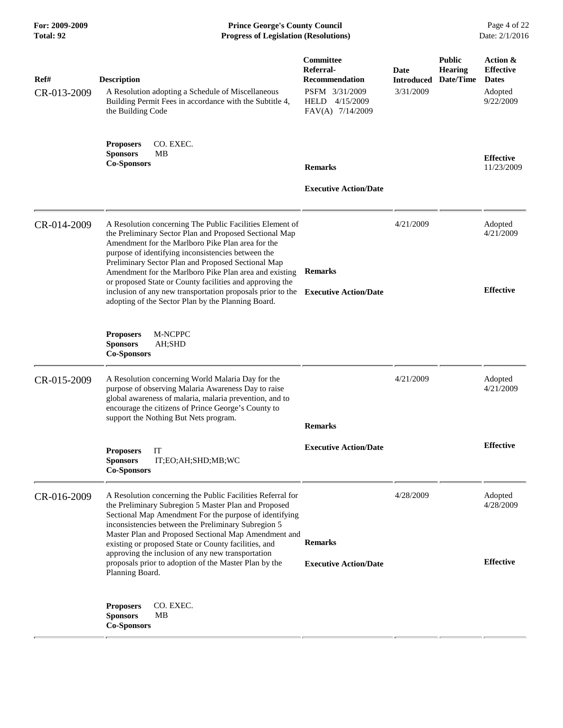**For: 2009-2009 Prince George's County Council** Page 4 of 22<br>**Progress of Legislation (Resolutions)** Date: 2/1/2016 **Total: 92 Progress of Legislation (Resolutions)** 

| Ref#<br>CR-013-2009 | <b>Description</b><br>A Resolution adopting a Schedule of Miscellaneous<br>Building Permit Fees in accordance with the Subtitle 4,<br>the Building Code                                                                                                                                                                                                                                                                                                                                                                       | <b>Committee</b><br>Referral-<br>Recommendation<br>PSFM 3/31/2009<br>HELD 4/15/2009<br>FAV(A) 7/14/2009 | Date<br><b>Introduced</b><br>3/31/2009 | <b>Public</b><br><b>Hearing</b><br>Date/Time | Action &<br><b>Effective</b><br><b>Dates</b><br>Adopted<br>9/22/2009 |
|---------------------|-------------------------------------------------------------------------------------------------------------------------------------------------------------------------------------------------------------------------------------------------------------------------------------------------------------------------------------------------------------------------------------------------------------------------------------------------------------------------------------------------------------------------------|---------------------------------------------------------------------------------------------------------|----------------------------------------|----------------------------------------------|----------------------------------------------------------------------|
|                     | CO. EXEC.<br><b>Proposers</b><br>MВ<br><b>Sponsors</b><br><b>Co-Sponsors</b>                                                                                                                                                                                                                                                                                                                                                                                                                                                  | <b>Remarks</b><br><b>Executive Action/Date</b>                                                          |                                        |                                              | <b>Effective</b><br>11/23/2009                                       |
| CR-014-2009         | A Resolution concerning The Public Facilities Element of<br>the Preliminary Sector Plan and Proposed Sectional Map<br>Amendment for the Marlboro Pike Plan area for the<br>purpose of identifying inconsistencies between the<br>Preliminary Sector Plan and Proposed Sectional Map<br>Amendment for the Marlboro Pike Plan area and existing<br>or proposed State or County facilities and approving the<br>inclusion of any new transportation proposals prior to the<br>adopting of the Sector Plan by the Planning Board. | <b>Remarks</b><br><b>Executive Action/Date</b>                                                          | 4/21/2009                              |                                              | Adopted<br>4/21/2009<br><b>Effective</b>                             |
|                     | <b>Proposers</b><br>M-NCPPC<br>AH;SHD<br><b>Sponsors</b><br><b>Co-Sponsors</b>                                                                                                                                                                                                                                                                                                                                                                                                                                                |                                                                                                         |                                        |                                              |                                                                      |
| CR-015-2009         | A Resolution concerning World Malaria Day for the<br>purpose of observing Malaria Awareness Day to raise<br>global awareness of malaria, malaria prevention, and to<br>encourage the citizens of Prince George's County to<br>support the Nothing But Nets program.                                                                                                                                                                                                                                                           | <b>Remarks</b>                                                                                          | 4/21/2009                              |                                              | Adopted<br>4/21/2009                                                 |
|                     | <b>Proposers</b><br>IT<br>IT;EO;AH;SHD;MB;WC<br><b>Sponsors</b><br><b>Co-Sponsors</b>                                                                                                                                                                                                                                                                                                                                                                                                                                         | <b>Executive Action/Date</b>                                                                            |                                        |                                              | <b>Effective</b>                                                     |
| CR-016-2009         | A Resolution concerning the Public Facilities Referral for<br>the Preliminary Subregion 5 Master Plan and Proposed<br>Sectional Map Amendment For the purpose of identifying<br>inconsistencies between the Preliminary Subregion 5<br>Master Plan and Proposed Sectional Map Amendment and<br>existing or proposed State or County facilities, and<br>approving the inclusion of any new transportation<br>proposals prior to adoption of the Master Plan by the<br>Planning Board.                                          | <b>Remarks</b><br><b>Executive Action/Date</b>                                                          | 4/28/2009                              |                                              | Adopted<br>4/28/2009<br><b>Effective</b>                             |
|                     | CO. EXEC.<br><b>Proposers</b><br><b>Sponsors</b><br>MВ<br><b>Co-Sponsors</b>                                                                                                                                                                                                                                                                                                                                                                                                                                                  |                                                                                                         |                                        |                                              |                                                                      |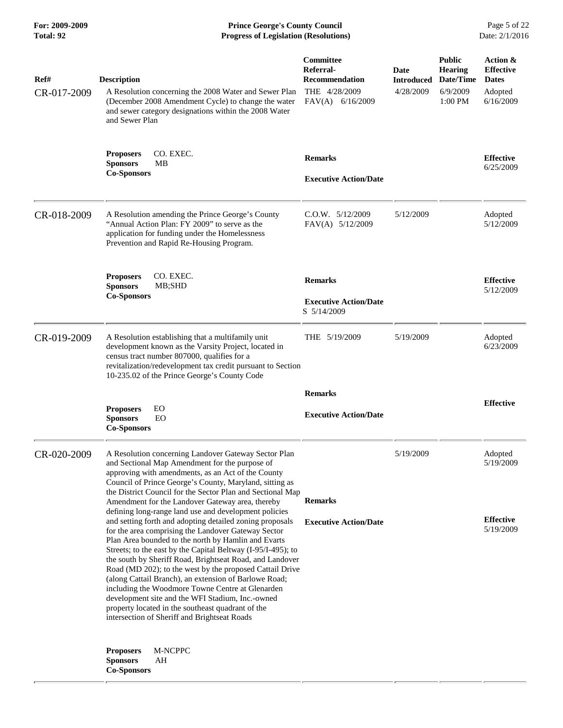**For: 2009-2009 Prince George's County Council** Page 5 of 22<br>**Progress of Legislation (Resolutions)** Date: 2/1/2016 **Total: 92 Progress of Legislation (Resolutions)** 

| Ref#<br>CR-017-2009 | <b>Description</b><br>A Resolution concerning the 2008 Water and Sewer Plan<br>(December 2008 Amendment Cycle) to change the water<br>and sewer category designations within the 2008 Water<br>and Sewer Plan                                                                                                                                                                                                                                                                                                                                                                                                                                                                                 | <b>Committee</b><br>Referral-<br><b>Recommendation</b><br>THE 4/28/2009<br>$FAV(A)$ 6/16/2009 | Date<br><b>Introduced</b><br>4/28/2009 | <b>Public</b><br><b>Hearing</b><br>Date/Time<br>6/9/2009<br>$1:00$ PM | Action &<br><b>Effective</b><br><b>Dates</b><br>Adopted<br>6/16/2009 |
|---------------------|-----------------------------------------------------------------------------------------------------------------------------------------------------------------------------------------------------------------------------------------------------------------------------------------------------------------------------------------------------------------------------------------------------------------------------------------------------------------------------------------------------------------------------------------------------------------------------------------------------------------------------------------------------------------------------------------------|-----------------------------------------------------------------------------------------------|----------------------------------------|-----------------------------------------------------------------------|----------------------------------------------------------------------|
|                     | CO. EXEC.<br><b>Proposers</b><br><b>Sponsors</b><br>MВ<br><b>Co-Sponsors</b>                                                                                                                                                                                                                                                                                                                                                                                                                                                                                                                                                                                                                  | <b>Remarks</b><br><b>Executive Action/Date</b>                                                |                                        |                                                                       | <b>Effective</b><br>6/25/2009                                        |
| CR-018-2009         | A Resolution amending the Prince George's County<br>"Annual Action Plan: FY 2009" to serve as the<br>application for funding under the Homelessness<br>Prevention and Rapid Re-Housing Program.                                                                                                                                                                                                                                                                                                                                                                                                                                                                                               | $C.0.W.$ $5/12/2009$<br>FAV(A) 5/12/2009                                                      | 5/12/2009                              |                                                                       | Adopted<br>5/12/2009                                                 |
|                     | <b>Proposers</b><br>CO. EXEC.<br>MB;SHD<br><b>Sponsors</b><br><b>Co-Sponsors</b>                                                                                                                                                                                                                                                                                                                                                                                                                                                                                                                                                                                                              | <b>Remarks</b><br><b>Executive Action/Date</b><br>S 5/14/2009                                 |                                        |                                                                       | <b>Effective</b><br>5/12/2009                                        |
| CR-019-2009         | A Resolution establishing that a multifamily unit<br>development known as the Varsity Project, located in<br>census tract number 807000, qualifies for a<br>revitalization/redevelopment tax credit pursuant to Section<br>10-235.02 of the Prince George's County Code                                                                                                                                                                                                                                                                                                                                                                                                                       | THE 5/19/2009                                                                                 | 5/19/2009                              |                                                                       | Adopted<br>6/23/2009                                                 |
|                     | EO<br><b>Proposers</b><br>EO<br><b>Sponsors</b><br><b>Co-Sponsors</b>                                                                                                                                                                                                                                                                                                                                                                                                                                                                                                                                                                                                                         | <b>Remarks</b><br><b>Executive Action/Date</b>                                                |                                        |                                                                       | <b>Effective</b>                                                     |
| CR-020-2009         | A Resolution concerning Landover Gateway Sector Plan<br>and Sectional Map Amendment for the purpose of<br>approving with amendments, as an Act of the County<br>Council of Prince George's County, Maryland, sitting as<br>the District Council for the Sector Plan and Sectional Map<br>Amendment for the Landover Gateway area, thereby                                                                                                                                                                                                                                                                                                                                                     | <b>Remarks</b>                                                                                | 5/19/2009                              |                                                                       | Adopted<br>5/19/2009                                                 |
|                     | defining long-range land use and development policies<br>and setting forth and adopting detailed zoning proposals<br>for the area comprising the Landover Gateway Sector<br>Plan Area bounded to the north by Hamlin and Evarts<br>Streets; to the east by the Capital Beltway (I-95/I-495); to<br>the south by Sheriff Road, Brightseat Road, and Landover<br>Road (MD 202); to the west by the proposed Cattail Drive<br>(along Cattail Branch), an extension of Barlowe Road;<br>including the Woodmore Towne Centre at Glenarden<br>development site and the WFI Stadium, Inc.-owned<br>property located in the southeast quadrant of the<br>intersection of Sheriff and Brightseat Roads | <b>Executive Action/Date</b>                                                                  |                                        |                                                                       | <b>Effective</b><br>5/19/2009                                        |
|                     | M-NCPPC<br><b>Proposers</b><br><b>Sponsors</b><br>AH<br><b>Co-Sponsors</b>                                                                                                                                                                                                                                                                                                                                                                                                                                                                                                                                                                                                                    |                                                                                               |                                        |                                                                       |                                                                      |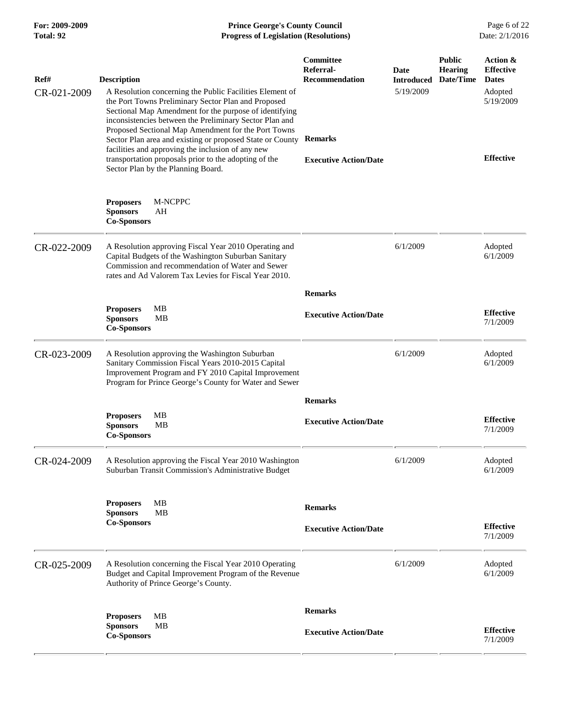| For: 2009-2009<br>Total: 92 | <b>Prince George's County Council</b><br><b>Progress of Legislation (Resolutions)</b>                                                                                                                                                                                                                                                                                                                                                                                                                                              |                                                                                                          |                                        |                                              |                                                                                          |
|-----------------------------|------------------------------------------------------------------------------------------------------------------------------------------------------------------------------------------------------------------------------------------------------------------------------------------------------------------------------------------------------------------------------------------------------------------------------------------------------------------------------------------------------------------------------------|----------------------------------------------------------------------------------------------------------|----------------------------------------|----------------------------------------------|------------------------------------------------------------------------------------------|
| Ref#<br>CR-021-2009         | <b>Description</b><br>A Resolution concerning the Public Facilities Element of<br>the Port Towns Preliminary Sector Plan and Proposed<br>Sectional Map Amendment for the purpose of identifying<br>inconsistencies between the Preliminary Sector Plan and<br>Proposed Sectional Map Amendment for the Port Towns<br>Sector Plan area and existing or proposed State or County<br>facilities and approving the inclusion of any new<br>transportation proposals prior to the adopting of the<br>Sector Plan by the Planning Board. | <b>Committee</b><br>Referral-<br><b>Recommendation</b><br><b>Remarks</b><br><b>Executive Action/Date</b> | Date<br><b>Introduced</b><br>5/19/2009 | <b>Public</b><br><b>Hearing</b><br>Date/Time | Action &<br><b>Effective</b><br><b>Dates</b><br>Adopted<br>5/19/2009<br><b>Effective</b> |
|                             | <b>Proposers</b><br>M-NCPPC<br>AH<br><b>Sponsors</b><br><b>Co-Sponsors</b>                                                                                                                                                                                                                                                                                                                                                                                                                                                         |                                                                                                          |                                        |                                              |                                                                                          |
| CR-022-2009                 | A Resolution approving Fiscal Year 2010 Operating and<br>Capital Budgets of the Washington Suburban Sanitary<br>Commission and recommendation of Water and Sewer<br>rates and Ad Valorem Tax Levies for Fiscal Year 2010.                                                                                                                                                                                                                                                                                                          |                                                                                                          | 6/1/2009                               |                                              | Adopted<br>6/1/2009                                                                      |
|                             | MB<br><b>Proposers</b><br><b>Sponsors</b><br>MВ<br><b>Co-Sponsors</b>                                                                                                                                                                                                                                                                                                                                                                                                                                                              | <b>Remarks</b><br><b>Executive Action/Date</b>                                                           |                                        |                                              | <b>Effective</b><br>7/1/2009                                                             |
| CR-023-2009                 | A Resolution approving the Washington Suburban<br>Sanitary Commission Fiscal Years 2010-2015 Capital<br>Improvement Program and FY 2010 Capital Improvement<br>Program for Prince George's County for Water and Sewer                                                                                                                                                                                                                                                                                                              |                                                                                                          | 6/1/2009                               |                                              | Adopted<br>6/1/2009                                                                      |
|                             | MB<br><b>Proposers</b><br>MВ<br><b>Sponsors</b><br><b>Co-Sponsors</b>                                                                                                                                                                                                                                                                                                                                                                                                                                                              | <b>Remarks</b><br><b>Executive Action/Date</b>                                                           |                                        |                                              | <b>Effective</b><br>7/1/2009                                                             |
| CR-024-2009                 | A Resolution approving the Fiscal Year 2010 Washington<br>Suburban Transit Commission's Administrative Budget                                                                                                                                                                                                                                                                                                                                                                                                                      |                                                                                                          | 6/1/2009                               |                                              | Adopted<br>6/1/2009                                                                      |
|                             | <b>MB</b><br><b>Proposers</b><br><b>MB</b><br><b>Sponsors</b><br><b>Co-Sponsors</b>                                                                                                                                                                                                                                                                                                                                                                                                                                                | <b>Remarks</b><br><b>Executive Action/Date</b>                                                           |                                        |                                              | <b>Effective</b><br>7/1/2009                                                             |
| CR-025-2009                 | A Resolution concerning the Fiscal Year 2010 Operating<br>Budget and Capital Improvement Program of the Revenue<br>Authority of Prince George's County.                                                                                                                                                                                                                                                                                                                                                                            |                                                                                                          | 6/1/2009                               |                                              | Adopted<br>6/1/2009                                                                      |
|                             | <b>Proposers</b><br>MВ<br><b>Sponsors</b><br>MВ<br><b>Co-Sponsors</b>                                                                                                                                                                                                                                                                                                                                                                                                                                                              | <b>Remarks</b><br><b>Executive Action/Date</b>                                                           |                                        |                                              | <b>Effective</b><br>7/1/2009                                                             |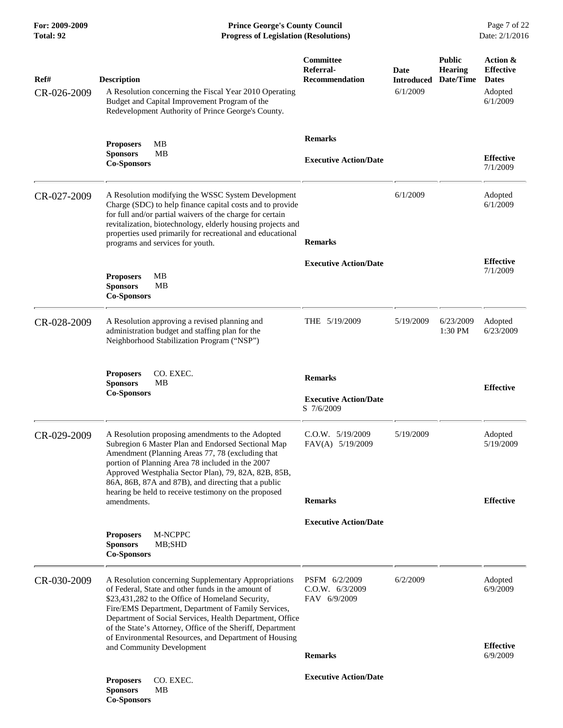| Ref#<br>CR-026-2009 | <b>Description</b><br>A Resolution concerning the Fiscal Year 2010 Operating<br>Budget and Capital Improvement Program of the<br>Redevelopment Authority of Prince George's County.                                                                                                                                                                                                                                                   | Committee<br>Referral-<br><b>Recommendation</b>              | <b>Date</b><br><b>Introduced</b><br>6/1/2009 | <b>Public</b><br><b>Hearing</b><br>Date/Time | Action &<br><b>Effective</b><br><b>Dates</b><br>Adopted<br>6/1/2009 |
|---------------------|---------------------------------------------------------------------------------------------------------------------------------------------------------------------------------------------------------------------------------------------------------------------------------------------------------------------------------------------------------------------------------------------------------------------------------------|--------------------------------------------------------------|----------------------------------------------|----------------------------------------------|---------------------------------------------------------------------|
|                     | <b>Proposers</b><br>MВ<br><b>MB</b><br><b>Sponsors</b><br><b>Co-Sponsors</b>                                                                                                                                                                                                                                                                                                                                                          | <b>Remarks</b><br><b>Executive Action/Date</b>               |                                              |                                              | <b>Effective</b><br>7/1/2009                                        |
| CR-027-2009         | A Resolution modifying the WSSC System Development<br>Charge (SDC) to help finance capital costs and to provide<br>for full and/or partial waivers of the charge for certain<br>revitalization, biotechnology, elderly housing projects and<br>properties used primarily for recreational and educational<br>programs and services for youth.                                                                                         | <b>Remarks</b>                                               | 6/1/2009                                     |                                              | Adopted<br>6/1/2009                                                 |
|                     | <b>Proposers</b><br>MВ<br><b>Sponsors</b><br><b>MB</b><br><b>Co-Sponsors</b>                                                                                                                                                                                                                                                                                                                                                          | <b>Executive Action/Date</b>                                 |                                              |                                              | <b>Effective</b><br>7/1/2009                                        |
| CR-028-2009         | A Resolution approving a revised planning and<br>administration budget and staffing plan for the<br>Neighborhood Stabilization Program ("NSP")                                                                                                                                                                                                                                                                                        | THE $5/19/2009$                                              | 5/19/2009                                    | 6/23/2009<br>1:30 PM                         | Adopted<br>6/23/2009                                                |
|                     | CO. EXEC.<br><b>Proposers</b><br><b>MB</b><br><b>Sponsors</b><br><b>Co-Sponsors</b>                                                                                                                                                                                                                                                                                                                                                   | <b>Remarks</b><br><b>Executive Action/Date</b><br>S 7/6/2009 |                                              |                                              | <b>Effective</b>                                                    |
| CR-029-2009         | A Resolution proposing amendments to the Adopted<br>Subregion 6 Master Plan and Endorsed Sectional Map<br>Amendment (Planning Areas 77, 78 (excluding that<br>portion of Planning Area 78 included in the 2007<br>Approved Westphalia Sector Plan), 79, 82A, 82B, 85B,<br>86A, 86B, 87A and 87B), and directing that a public<br>hearing be held to receive testimony on the proposed<br>amendments.                                  | C.O.W. 5/19/2009<br>FAV(A) 5/19/2009<br><b>Remarks</b>       | 5/19/2009                                    |                                              | Adopted<br>5/19/2009<br><b>Effective</b>                            |
|                     | M-NCPPC<br><b>Proposers</b><br><b>Sponsors</b><br>MB;SHD<br><b>Co-Sponsors</b>                                                                                                                                                                                                                                                                                                                                                        | <b>Executive Action/Date</b>                                 |                                              |                                              |                                                                     |
| CR-030-2009         | A Resolution concerning Supplementary Appropriations<br>of Federal, State and other funds in the amount of<br>\$23,431,282 to the Office of Homeland Security,<br>Fire/EMS Department, Department of Family Services,<br>Department of Social Services, Health Department, Office<br>of the State's Attorney, Office of the Sheriff, Department<br>of Environmental Resources, and Department of Housing<br>and Community Development | PSFM 6/2/2009<br>C.O.W. 6/3/2009<br>FAV 6/9/2009             | 6/2/2009                                     |                                              | Adopted<br>6/9/2009<br><b>Effective</b>                             |
|                     |                                                                                                                                                                                                                                                                                                                                                                                                                                       | <b>Remarks</b>                                               |                                              |                                              | 6/9/2009                                                            |
|                     | CO. EXEC.<br><b>Proposers</b><br><b>Sponsors</b><br>MВ<br><b>Co-Sponsors</b>                                                                                                                                                                                                                                                                                                                                                          | <b>Executive Action/Date</b>                                 |                                              |                                              |                                                                     |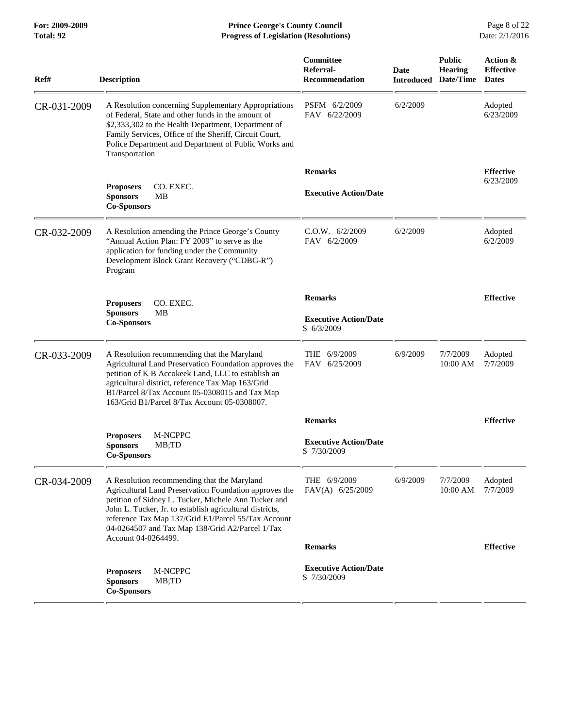## **For: 2009-2009 Prince George's County Council** Page 8 of 22<br>**Progress of Legislation (Resolutions)** Date: 2/1/2016 **Total: 92 Progress of Legislation (Resolutions)**

| Ref#        | <b>Description</b>                                                                                                                                                                                                                                                                                                                                         | Committee<br>Referral-<br><b>Recommendation</b> | <b>Date</b><br><b>Introduced</b> | <b>Public</b><br><b>Hearing</b><br>Date/Time | Action &<br><b>Effective</b><br><b>Dates</b> |
|-------------|------------------------------------------------------------------------------------------------------------------------------------------------------------------------------------------------------------------------------------------------------------------------------------------------------------------------------------------------------------|-------------------------------------------------|----------------------------------|----------------------------------------------|----------------------------------------------|
| CR-031-2009 | A Resolution concerning Supplementary Appropriations<br>of Federal. State and other funds in the amount of<br>\$2,333,302 to the Health Department, Department of<br>Family Services, Office of the Sheriff, Circuit Court,<br>Police Department and Department of Public Works and<br>Transportation                                                      | PSFM 6/2/2009<br>FAV 6/22/2009                  | 6/2/2009                         |                                              | Adopted<br>6/23/2009                         |
|             |                                                                                                                                                                                                                                                                                                                                                            | <b>Remarks</b>                                  |                                  |                                              | <b>Effective</b>                             |
|             | CO. EXEC.<br><b>Proposers</b><br><b>Sponsors</b><br>MB<br><b>Co-Sponsors</b>                                                                                                                                                                                                                                                                               | <b>Executive Action/Date</b>                    |                                  |                                              | 6/23/2009                                    |
| CR-032-2009 | A Resolution amending the Prince George's County<br>"Annual Action Plan: FY 2009" to serve as the<br>application for funding under the Community<br>Development Block Grant Recovery ("CDBG-R")<br>Program                                                                                                                                                 | C.O.W. 6/2/2009<br>FAV 6/2/2009                 | 6/2/2009                         |                                              | Adopted<br>6/2/2009                          |
|             | CO. EXEC.                                                                                                                                                                                                                                                                                                                                                  | <b>Remarks</b>                                  |                                  |                                              | <b>Effective</b>                             |
|             | <b>Proposers</b><br><b>Sponsors</b><br><b>MB</b><br><b>Co-Sponsors</b>                                                                                                                                                                                                                                                                                     | <b>Executive Action/Date</b><br>S 6/3/2009      |                                  |                                              |                                              |
| CR-033-2009 | A Resolution recommending that the Maryland<br>Agricultural Land Preservation Foundation approves the<br>petition of K B Accokeek Land, LLC to establish an<br>agricultural district, reference Tax Map 163/Grid<br>B1/Parcel 8/Tax Account 05-0308015 and Tax Map<br>163/Grid B1/Parcel 8/Tax Account 05-0308007.                                         | <b>THE</b><br>6/9/2009<br>FAV 6/25/2009         | 6/9/2009                         | 7/7/2009<br>10:00 AM                         | Adopted<br>7/7/2009                          |
|             |                                                                                                                                                                                                                                                                                                                                                            | <b>Remarks</b>                                  |                                  |                                              | <b>Effective</b>                             |
|             | M-NCPPC<br><b>Proposers</b><br><b>Sponsors</b><br>MB;TD<br><b>Co-Sponsors</b>                                                                                                                                                                                                                                                                              | <b>Executive Action/Date</b><br>S 7/30/2009     |                                  |                                              |                                              |
| CR-034-2009 | A Resolution recommending that the Maryland<br>Agricultural Land Preservation Foundation approves the<br>petition of Sidney L. Tucker, Michele Ann Tucker and<br>John L. Tucker, Jr. to establish agricultural districts,<br>reference Tax Map 137/Grid E1/Parcel 55/Tax Account<br>04-0264507 and Tax Map 138/Grid A2/Parcel 1/Tax<br>Account 04-0264499. | THE 6/9/2009<br>FAV(A) 6/25/2009                | 6/9/2009                         | 7/7/2009<br>10:00 AM                         | Adopted<br>7/7/2009                          |
|             |                                                                                                                                                                                                                                                                                                                                                            | <b>Remarks</b>                                  |                                  |                                              | <b>Effective</b>                             |
|             | M-NCPPC<br><b>Proposers</b><br><b>Sponsors</b><br>MB;TD<br><b>Co-Sponsors</b>                                                                                                                                                                                                                                                                              | <b>Executive Action/Date</b><br>S 7/30/2009     |                                  |                                              |                                              |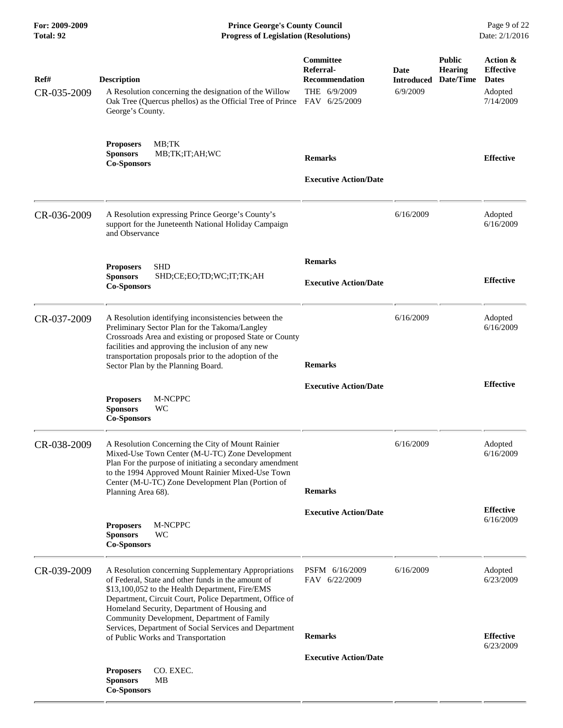| For: 2009-2009<br><b>Total: 92</b> | <b>Prince George's County Council</b><br>Date: 2/1/2016<br><b>Progress of Legislation (Resolutions)</b>                                                                                                                                                                                                                                                                           |                                                                                         |                                       |                                              |                                                                      |
|------------------------------------|-----------------------------------------------------------------------------------------------------------------------------------------------------------------------------------------------------------------------------------------------------------------------------------------------------------------------------------------------------------------------------------|-----------------------------------------------------------------------------------------|---------------------------------------|----------------------------------------------|----------------------------------------------------------------------|
| Ref#<br>CR-035-2009                | <b>Description</b><br>A Resolution concerning the designation of the Willow<br>Oak Tree (Quercus phellos) as the Official Tree of Prince<br>George's County.                                                                                                                                                                                                                      | <b>Committee</b><br>Referral-<br><b>Recommendation</b><br>THE 6/9/2009<br>FAV 6/25/2009 | Date<br><b>Introduced</b><br>6/9/2009 | <b>Public</b><br><b>Hearing</b><br>Date/Time | Action &<br><b>Effective</b><br><b>Dates</b><br>Adopted<br>7/14/2009 |
|                                    | MB;TK<br><b>Proposers</b><br><b>Sponsors</b><br>MB;TK;IT;AH;WC<br><b>Co-Sponsors</b>                                                                                                                                                                                                                                                                                              | <b>Remarks</b><br><b>Executive Action/Date</b>                                          |                                       |                                              | <b>Effective</b>                                                     |
| CR-036-2009                        | A Resolution expressing Prince George's County's<br>support for the Juneteenth National Holiday Campaign<br>and Observance                                                                                                                                                                                                                                                        |                                                                                         | 6/16/2009                             |                                              | Adopted<br>6/16/2009                                                 |
|                                    | <b>SHD</b><br><b>Proposers</b><br><b>Sponsors</b><br>SHD;CE;EO;TD;WC;IT;TK;AH<br><b>Co-Sponsors</b>                                                                                                                                                                                                                                                                               | <b>Remarks</b><br><b>Executive Action/Date</b>                                          |                                       |                                              | <b>Effective</b>                                                     |
| CR-037-2009                        | A Resolution identifying inconsistencies between the<br>Preliminary Sector Plan for the Takoma/Langley<br>Crossroads Area and existing or proposed State or County<br>facilities and approving the inclusion of any new<br>transportation proposals prior to the adoption of the<br>Sector Plan by the Planning Board.                                                            | <b>Remarks</b>                                                                          | 6/16/2009                             |                                              | Adopted<br>6/16/2009                                                 |
|                                    | M-NCPPC<br><b>Proposers</b><br><b>Sponsors</b><br>WC<br><b>Co-Sponsors</b>                                                                                                                                                                                                                                                                                                        | <b>Executive Action/Date</b>                                                            |                                       |                                              | <b>Effective</b>                                                     |
| CR-038-2009                        | A Resolution Concerning the City of Mount Rainier<br>Mixed-Use Town Center (M-U-TC) Zone Development<br>Plan For the purpose of initiating a secondary amendment<br>to the 1994 Approved Mount Rainier Mixed-Use Town<br>Center (M-U-TC) Zone Development Plan (Portion of<br>Planning Area 68).                                                                                  | <b>Remarks</b>                                                                          | 6/16/2009                             |                                              | Adopted<br>6/16/2009                                                 |
|                                    | M-NCPPC<br><b>Proposers</b><br>WC<br><b>Sponsors</b><br><b>Co-Sponsors</b>                                                                                                                                                                                                                                                                                                        | <b>Executive Action/Date</b>                                                            |                                       |                                              | <b>Effective</b><br>6/16/2009                                        |
| CR-039-2009                        | A Resolution concerning Supplementary Appropriations<br>of Federal, State and other funds in the amount of<br>\$13,100,052 to the Health Department, Fire/EMS<br>Department, Circuit Court, Police Department, Office of<br>Homeland Security, Department of Housing and<br>Community Development, Department of Family<br>Services, Department of Social Services and Department | PSFM 6/16/2009<br>FAV 6/22/2009                                                         | 6/16/2009                             |                                              | Adopted<br>6/23/2009                                                 |
|                                    | of Public Works and Transportation<br>CO. EXEC.<br><b>Proposers</b><br><b>Sponsors</b><br>MВ<br><b>Co-Sponsors</b>                                                                                                                                                                                                                                                                | <b>Remarks</b><br><b>Executive Action/Date</b>                                          |                                       |                                              | <b>Effective</b><br>6/23/2009                                        |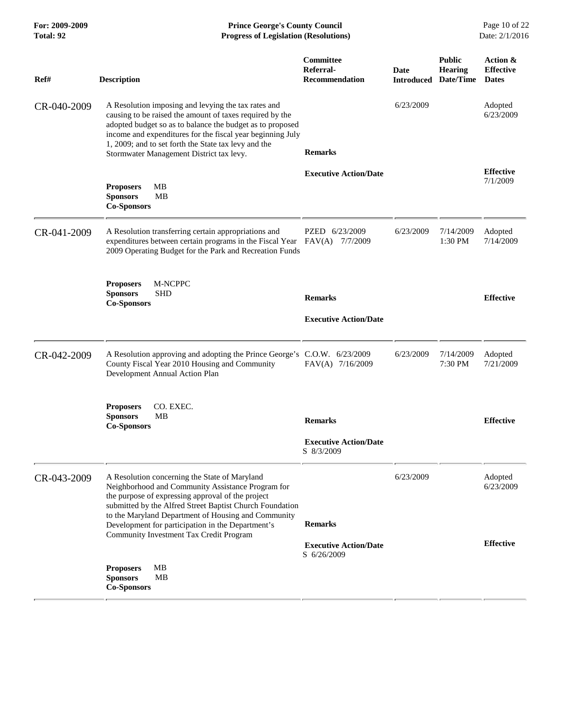| For: 2009-2009<br><b>Total: 92</b> | <b>Prince George's County Council</b><br>Date: 2/1/2016<br><b>Progress of Legislation (Resolutions)</b>                                                                                                                                                                                                                                        |                                                              |           |                                                                |                                              |
|------------------------------------|------------------------------------------------------------------------------------------------------------------------------------------------------------------------------------------------------------------------------------------------------------------------------------------------------------------------------------------------|--------------------------------------------------------------|-----------|----------------------------------------------------------------|----------------------------------------------|
| Ref#                               | <b>Description</b>                                                                                                                                                                                                                                                                                                                             | <b>Committee</b><br>Referral-<br><b>Recommendation</b>       | Date      | <b>Public</b><br><b>Hearing</b><br><b>Introduced Date/Time</b> | Action &<br><b>Effective</b><br><b>Dates</b> |
| CR-040-2009                        | A Resolution imposing and levying the tax rates and<br>causing to be raised the amount of taxes required by the<br>adopted budget so as to balance the budget as to proposed<br>income and expenditures for the fiscal year beginning July<br>1, 2009; and to set forth the State tax levy and the<br>Stormwater Management District tax levy. | <b>Remarks</b>                                               | 6/23/2009 |                                                                | Adopted<br>6/23/2009                         |
|                                    | MВ<br><b>Proposers</b><br><b>Sponsors</b><br>MВ<br><b>Co-Sponsors</b>                                                                                                                                                                                                                                                                          | <b>Executive Action/Date</b>                                 |           |                                                                | <b>Effective</b><br>7/1/2009                 |
| CR-041-2009                        | A Resolution transferring certain appropriations and<br>expenditures between certain programs in the Fiscal Year<br>2009 Operating Budget for the Park and Recreation Funds                                                                                                                                                                    | PZED 6/23/2009<br>FAV(A)<br>7/7/2009                         | 6/23/2009 | 7/14/2009<br>$1:30$ PM                                         | Adopted<br>7/14/2009                         |
|                                    | M-NCPPC<br><b>Proposers</b><br><b>Sponsors</b><br><b>SHD</b><br><b>Co-Sponsors</b>                                                                                                                                                                                                                                                             | <b>Remarks</b><br><b>Executive Action/Date</b>               |           |                                                                | <b>Effective</b>                             |
| CR-042-2009                        | A Resolution approving and adopting the Prince George's C.O.W. 6/23/2009<br>County Fiscal Year 2010 Housing and Community<br>Development Annual Action Plan                                                                                                                                                                                    | FAV(A) 7/16/2009                                             | 6/23/2009 | 7/14/2009<br>7:30 PM                                           | Adopted<br>7/21/2009                         |
|                                    | CO. EXEC.<br><b>Proposers</b><br>MВ<br><b>Sponsors</b><br><b>Co-Sponsors</b>                                                                                                                                                                                                                                                                   | <b>Remarks</b><br><b>Executive Action/Date</b><br>S 8/3/2009 |           |                                                                | <b>Effective</b>                             |
| CR-043-2009                        | A Resolution concerning the State of Maryland<br>Neighborhood and Community Assistance Program for<br>the purpose of expressing approval of the project<br>submitted by the Alfred Street Baptist Church Foundation<br>to the Maryland Department of Housing and Community<br>Development for participation in the Department's                | <b>Remarks</b>                                               | 6/23/2009 |                                                                | Adopted<br>6/23/2009                         |
|                                    | Community Investment Tax Credit Program<br>MВ<br><b>Proposers</b><br><b>Sponsors</b><br>MВ<br><b>Co-Sponsors</b>                                                                                                                                                                                                                               | <b>Executive Action/Date</b><br>S 6/26/2009                  |           |                                                                | <b>Effective</b>                             |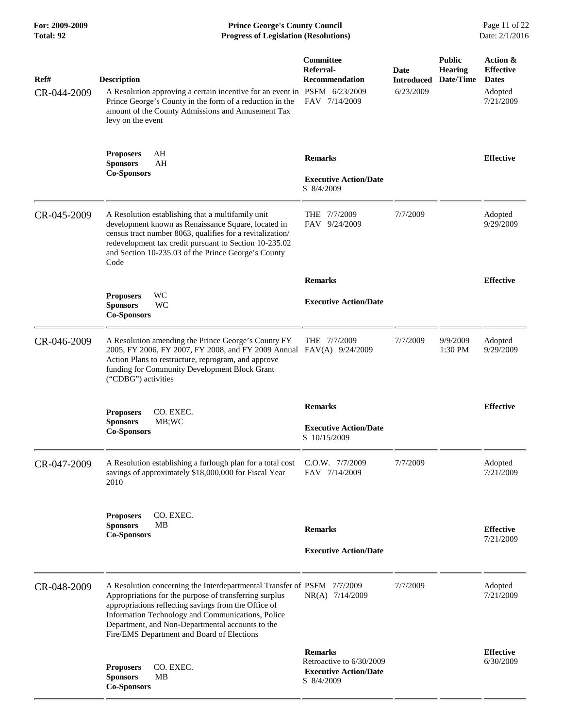**For: 2009-2009 Prince George's County Council** Page 11 of 22<br> **Progress of Legislation (Resolutions)** Date: 2/1/2016 **Total: 92 Progress of Legislation (Resolutions)** 

| Ref#<br>CR-044-2009 | <b>Description</b><br>A Resolution approving a certain incentive for an event in PSFM 6/23/2009<br>Prince George's County in the form of a reduction in the<br>amount of the County Admissions and Amusement Tax<br>levy on the event                                                                                                            | Committee<br>Referral-<br><b>Recommendation</b><br>FAV 7/14/2009                         | Date<br><b>Introduced</b><br>6/23/2009 | <b>Public</b><br><b>Hearing</b><br>Date/Time | Action &<br><b>Effective</b><br><b>Dates</b><br>Adopted<br>7/21/2009 |
|---------------------|--------------------------------------------------------------------------------------------------------------------------------------------------------------------------------------------------------------------------------------------------------------------------------------------------------------------------------------------------|------------------------------------------------------------------------------------------|----------------------------------------|----------------------------------------------|----------------------------------------------------------------------|
|                     | AH<br><b>Proposers</b><br><b>Sponsors</b><br>AH<br><b>Co-Sponsors</b>                                                                                                                                                                                                                                                                            | <b>Remarks</b><br><b>Executive Action/Date</b><br>S 8/4/2009                             |                                        |                                              | <b>Effective</b>                                                     |
| CR-045-2009         | A Resolution establishing that a multifamily unit<br>development known as Renaissance Square, located in<br>census tract number 8063, qualifies for a revitalization/<br>redevelopment tax credit pursuant to Section 10-235.02<br>and Section 10-235.03 of the Prince George's County<br>Code                                                   | THE 7/7/2009<br>FAV 9/24/2009                                                            | 7/7/2009                               |                                              | Adopted<br>9/29/2009                                                 |
|                     |                                                                                                                                                                                                                                                                                                                                                  | <b>Remarks</b>                                                                           |                                        |                                              | <b>Effective</b>                                                     |
|                     | WC<br><b>Proposers</b><br>WC<br><b>Sponsors</b><br><b>Co-Sponsors</b>                                                                                                                                                                                                                                                                            | <b>Executive Action/Date</b>                                                             |                                        |                                              |                                                                      |
| CR-046-2009         | A Resolution amending the Prince George's County FY<br>2005, FY 2006, FY 2007, FY 2008, and FY 2009 Annual FAV(A) 9/24/2009<br>Action Plans to restructure, reprogram, and approve<br>funding for Community Development Block Grant<br>("CDBG") activities                                                                                       | THE 7/7/2009                                                                             | 7/7/2009                               | 9/9/2009<br>1:30 PM                          | Adopted<br>9/29/2009                                                 |
|                     | <b>Proposers</b><br>CO. EXEC.<br><b>Sponsors</b><br>MB;WC<br><b>Co-Sponsors</b>                                                                                                                                                                                                                                                                  | <b>Remarks</b><br><b>Executive Action/Date</b><br>S 10/15/2009                           |                                        |                                              | <b>Effective</b>                                                     |
| CR-047-2009         | A Resolution establishing a furlough plan for a total cost<br>savings of approximately \$18,000,000 for Fiscal Year<br>2010                                                                                                                                                                                                                      | C.O.W. 7/7/2009<br>FAV 7/14/2009                                                         | 7/7/2009                               |                                              | Adopted<br>7/21/2009                                                 |
|                     | CO. EXEC.<br><b>Proposers</b><br><b>Sponsors</b><br><b>MB</b><br><b>Co-Sponsors</b>                                                                                                                                                                                                                                                              | <b>Remarks</b><br><b>Executive Action/Date</b>                                           |                                        |                                              | <b>Effective</b><br>7/21/2009                                        |
| CR-048-2009         | A Resolution concerning the Interdepartmental Transfer of PSFM 7/7/2009<br>Appropriations for the purpose of transferring surplus<br>appropriations reflecting savings from the Office of<br>Information Technology and Communications, Police<br>Department, and Non-Departmental accounts to the<br>Fire/EMS Department and Board of Elections | NR(A) 7/14/2009                                                                          | 7/7/2009                               |                                              | Adopted<br>7/21/2009                                                 |
|                     | CO. EXEC.<br><b>Proposers</b><br><b>Sponsors</b><br><b>MB</b><br><b>Co-Sponsors</b>                                                                                                                                                                                                                                                              | <b>Remarks</b><br>Retroactive to 6/30/2009<br><b>Executive Action/Date</b><br>S 8/4/2009 |                                        |                                              | <b>Effective</b><br>6/30/2009                                        |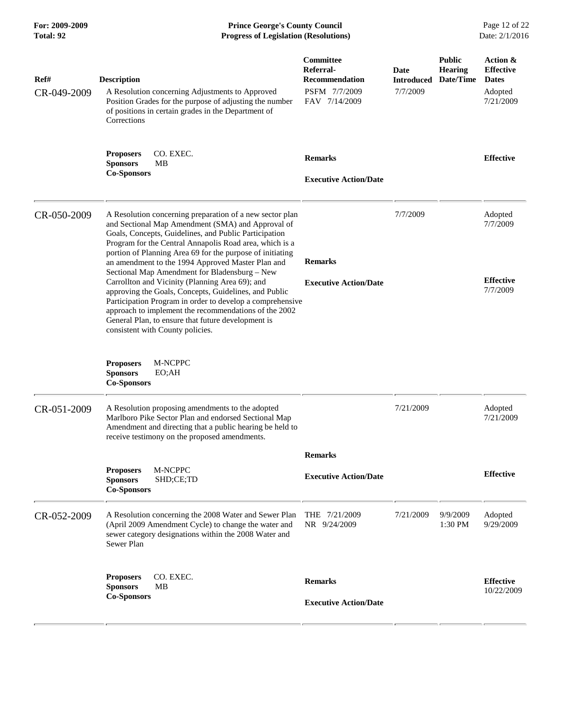**For: 2009-2009 Prince George's County Council** Page 12 of 22<br>**Prince George's County Council** Page 12 of 22<br>**Progress of Legislation (Resolutions)** Date: 2/1/2016 **Total: 92 Progress of Legislation (Resolutions)** 

| Ref#<br>CR-049-2009 | <b>Description</b><br>A Resolution concerning Adjustments to Approved<br>Position Grades for the purpose of adjusting the number<br>of positions in certain grades in the Department of<br>Corrections                                                                                                                                                                                                                                                                                                                                                                                                                                                                                                                           | Committee<br>Referral-<br><b>Recommendation</b><br>PSFM 7/7/2009<br>FAV 7/14/2009 | Date<br>Introduced<br>7/7/2009 | <b>Public</b><br><b>Hearing</b><br>Date/Time | Action &<br><b>Effective</b><br><b>Dates</b><br>Adopted<br>7/21/2009 |
|---------------------|----------------------------------------------------------------------------------------------------------------------------------------------------------------------------------------------------------------------------------------------------------------------------------------------------------------------------------------------------------------------------------------------------------------------------------------------------------------------------------------------------------------------------------------------------------------------------------------------------------------------------------------------------------------------------------------------------------------------------------|-----------------------------------------------------------------------------------|--------------------------------|----------------------------------------------|----------------------------------------------------------------------|
|                     | CO. EXEC.<br><b>Proposers</b><br><b>Sponsors</b><br>MВ<br><b>Co-Sponsors</b>                                                                                                                                                                                                                                                                                                                                                                                                                                                                                                                                                                                                                                                     | <b>Remarks</b><br><b>Executive Action/Date</b>                                    |                                |                                              | <b>Effective</b>                                                     |
| CR-050-2009         | A Resolution concerning preparation of a new sector plan<br>and Sectional Map Amendment (SMA) and Approval of<br>Goals, Concepts, Guidelines, and Public Participation<br>Program for the Central Annapolis Road area, which is a<br>portion of Planning Area 69 for the purpose of initiating<br>an amendment to the 1994 Approved Master Plan and<br>Sectional Map Amendment for Bladensburg - New<br>Carrollton and Vicinity (Planning Area 69); and<br>approving the Goals, Concepts, Guidelines, and Public<br>Participation Program in order to develop a comprehensive<br>approach to implement the recommendations of the 2002<br>General Plan, to ensure that future development is<br>consistent with County policies. | <b>Remarks</b><br><b>Executive Action/Date</b>                                    | 7/7/2009                       |                                              | Adopted<br>7/7/2009<br><b>Effective</b><br>7/7/2009                  |
|                     | M-NCPPC<br><b>Proposers</b><br><b>Sponsors</b><br>EO;AH<br><b>Co-Sponsors</b>                                                                                                                                                                                                                                                                                                                                                                                                                                                                                                                                                                                                                                                    |                                                                                   |                                |                                              |                                                                      |
| CR-051-2009         | A Resolution proposing amendments to the adopted<br>Marlboro Pike Sector Plan and endorsed Sectional Map<br>Amendment and directing that a public hearing be held to<br>receive testimony on the proposed amendments.                                                                                                                                                                                                                                                                                                                                                                                                                                                                                                            |                                                                                   | 7/21/2009                      |                                              | Adopted<br>7/21/2009                                                 |
|                     |                                                                                                                                                                                                                                                                                                                                                                                                                                                                                                                                                                                                                                                                                                                                  | <b>Remarks</b>                                                                    |                                |                                              |                                                                      |
|                     | M-NCPPC<br><b>Proposers</b><br>SHD;CE;TD<br><b>Sponsors</b><br><b>Co-Sponsors</b>                                                                                                                                                                                                                                                                                                                                                                                                                                                                                                                                                                                                                                                | <b>Executive Action/Date</b>                                                      |                                |                                              | <b>Effective</b>                                                     |
| CR-052-2009         | A Resolution concerning the 2008 Water and Sewer Plan<br>(April 2009 Amendment Cycle) to change the water and<br>sewer category designations within the 2008 Water and<br>Sewer Plan                                                                                                                                                                                                                                                                                                                                                                                                                                                                                                                                             | THE 7/21/2009<br>NR 9/24/2009                                                     | 7/21/2009                      | 9/9/2009<br>1:30 PM                          | Adopted<br>9/29/2009                                                 |
|                     | <b>Proposers</b><br>CO. EXEC.<br><b>Sponsors</b><br>MВ<br><b>Co-Sponsors</b>                                                                                                                                                                                                                                                                                                                                                                                                                                                                                                                                                                                                                                                     | <b>Remarks</b><br><b>Executive Action/Date</b>                                    |                                |                                              | <b>Effective</b><br>10/22/2009                                       |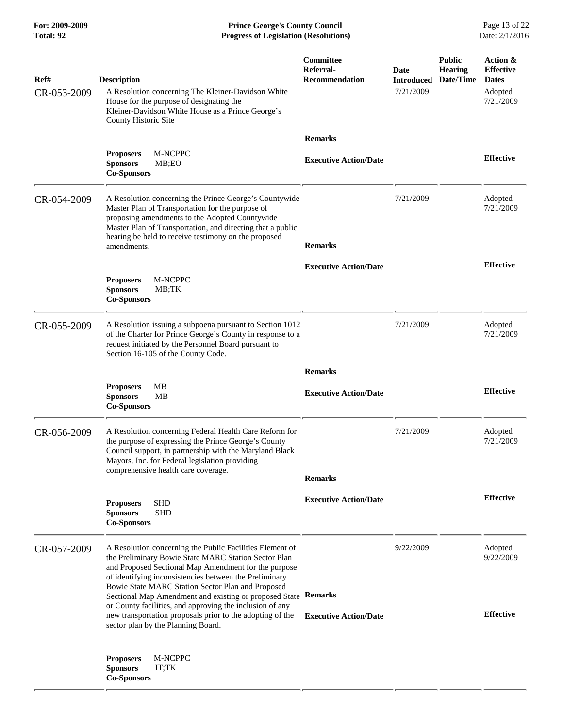**For: 2009-2009 Prince George's County Council** Page 13 of 22<br>**Progress of Legislation (Resolutions)** Date: 2/1/2016 **Total: 92 Progress of Legislation (Resolutions)** 

| Ref#<br>CR-053-2009 | <b>Description</b><br>A Resolution concerning The Kleiner-Davidson White<br>House for the purpose of designating the<br>Kleiner-Davidson White House as a Prince George's<br>County Historic Site                                                                                                                                                                                                                                                                                                                        | <b>Committee</b><br>Referral-<br><b>Recommendation</b> | Date<br><b>Introduced</b><br>7/21/2009 | <b>Public</b><br><b>Hearing</b><br>Date/Time | Action &<br><b>Effective</b><br><b>Dates</b><br>Adopted<br>7/21/2009 |
|---------------------|--------------------------------------------------------------------------------------------------------------------------------------------------------------------------------------------------------------------------------------------------------------------------------------------------------------------------------------------------------------------------------------------------------------------------------------------------------------------------------------------------------------------------|--------------------------------------------------------|----------------------------------------|----------------------------------------------|----------------------------------------------------------------------|
|                     |                                                                                                                                                                                                                                                                                                                                                                                                                                                                                                                          | <b>Remarks</b>                                         |                                        |                                              |                                                                      |
|                     | M-NCPPC<br><b>Proposers</b><br><b>Sponsors</b><br>MB;EO<br><b>Co-Sponsors</b>                                                                                                                                                                                                                                                                                                                                                                                                                                            | <b>Executive Action/Date</b>                           |                                        |                                              | <b>Effective</b>                                                     |
| CR-054-2009         | A Resolution concerning the Prince George's Countywide<br>Master Plan of Transportation for the purpose of<br>proposing amendments to the Adopted Countywide<br>Master Plan of Transportation, and directing that a public<br>hearing be held to receive testimony on the proposed<br>amendments.                                                                                                                                                                                                                        | <b>Remarks</b>                                         | 7/21/2009                              |                                              | Adopted<br>7/21/2009                                                 |
|                     | <b>Proposers</b><br>M-NCPPC<br><b>Sponsors</b><br>MB;TK<br><b>Co-Sponsors</b>                                                                                                                                                                                                                                                                                                                                                                                                                                            | <b>Executive Action/Date</b>                           |                                        |                                              | <b>Effective</b>                                                     |
| CR-055-2009         | A Resolution issuing a subpoena pursuant to Section 1012<br>of the Charter for Prince George's County in response to a<br>request initiated by the Personnel Board pursuant to<br>Section 16-105 of the County Code.                                                                                                                                                                                                                                                                                                     |                                                        | 7/21/2009                              |                                              | Adopted<br>7/21/2009                                                 |
|                     |                                                                                                                                                                                                                                                                                                                                                                                                                                                                                                                          | <b>Remarks</b>                                         |                                        |                                              |                                                                      |
|                     | MB<br><b>Proposers</b><br><b>Sponsors</b><br>MВ<br><b>Co-Sponsors</b>                                                                                                                                                                                                                                                                                                                                                                                                                                                    | <b>Executive Action/Date</b>                           |                                        |                                              | <b>Effective</b>                                                     |
| CR-056-2009         | A Resolution concerning Federal Health Care Reform for<br>the purpose of expressing the Prince George's County<br>Council support, in partnership with the Maryland Black<br>Mayors, Inc. for Federal legislation providing<br>comprehensive health care coverage.                                                                                                                                                                                                                                                       |                                                        | 7/21/2009                              |                                              | Adopted<br>7/21/2009                                                 |
|                     |                                                                                                                                                                                                                                                                                                                                                                                                                                                                                                                          | <b>Remarks</b>                                         |                                        |                                              |                                                                      |
|                     | <b>Proposers</b><br>SHD<br><b>SHD</b><br><b>Sponsors</b><br><b>Co-Sponsors</b>                                                                                                                                                                                                                                                                                                                                                                                                                                           | <b>Executive Action/Date</b>                           |                                        |                                              | <b>Effective</b>                                                     |
| CR-057-2009         | A Resolution concerning the Public Facilities Element of<br>the Preliminary Bowie State MARC Station Sector Plan<br>and Proposed Sectional Map Amendment for the purpose<br>of identifying inconsistencies between the Preliminary<br>Bowie State MARC Station Sector Plan and Proposed<br>Sectional Map Amendment and existing or proposed State Remarks<br>or County facilities, and approving the inclusion of any<br>new transportation proposals prior to the adopting of the<br>sector plan by the Planning Board. | <b>Executive Action/Date</b>                           | 9/22/2009                              |                                              | Adopted<br>9/22/2009<br><b>Effective</b>                             |
|                     | M-NCPPC<br><b>Proposers</b><br><b>Sponsors</b><br>IT;TK<br><b>Co-Sponsors</b>                                                                                                                                                                                                                                                                                                                                                                                                                                            |                                                        |                                        |                                              |                                                                      |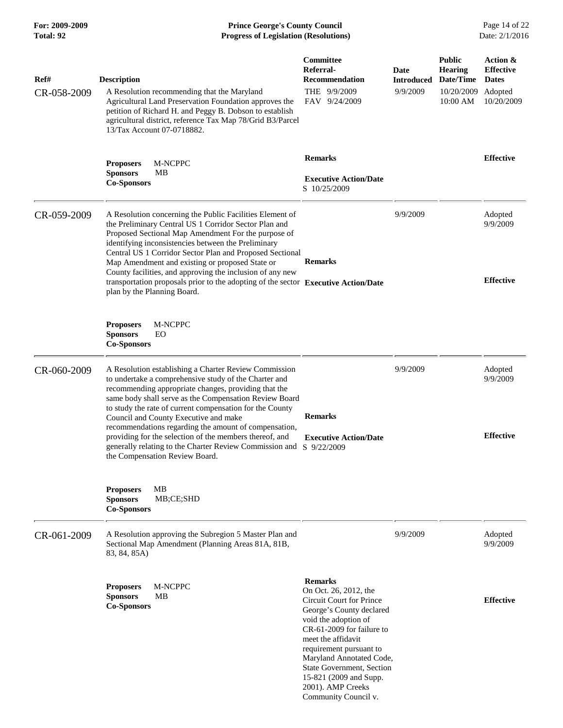## **For: 2009-2009 Prince George's County Council** Page 14 of 22<br>**Progress of Legislation (Resolutions)** Date: 2/1/2016 **Total: 92 Progress of Legislation (Resolutions)**

| Ref#<br>CR-058-2009 | <b>Description</b><br>A Resolution recommending that the Maryland<br>Agricultural Land Preservation Foundation approves the<br>petition of Richard H. and Peggy B. Dobson to establish<br>agricultural district, reference Tax Map 78/Grid B3/Parcel<br>13/Tax Account 07-0718882.                                                                                                                                                                                                                                                                     | Committee<br>Referral-<br><b>Recommendation</b><br>THE 9/9/2009<br>FAV 9/24/2009                                                                                                                                                                                                                                                      | Date<br><b>Introduced</b><br>9/9/2009 | <b>Public</b><br><b>Hearing</b><br>Date/Time<br>10/20/2009<br>10:00 AM | Action &<br><b>Effective</b><br><b>Dates</b><br>Adopted<br>10/20/2009 |
|---------------------|--------------------------------------------------------------------------------------------------------------------------------------------------------------------------------------------------------------------------------------------------------------------------------------------------------------------------------------------------------------------------------------------------------------------------------------------------------------------------------------------------------------------------------------------------------|---------------------------------------------------------------------------------------------------------------------------------------------------------------------------------------------------------------------------------------------------------------------------------------------------------------------------------------|---------------------------------------|------------------------------------------------------------------------|-----------------------------------------------------------------------|
|                     | <b>Proposers</b><br>M-NCPPC<br><b>Sponsors</b><br>MВ<br><b>Co-Sponsors</b>                                                                                                                                                                                                                                                                                                                                                                                                                                                                             | <b>Remarks</b><br><b>Executive Action/Date</b><br>S 10/25/2009                                                                                                                                                                                                                                                                        |                                       |                                                                        | <b>Effective</b>                                                      |
| CR-059-2009         | A Resolution concerning the Public Facilities Element of<br>the Preliminary Central US 1 Corridor Sector Plan and<br>Proposed Sectional Map Amendment For the purpose of<br>identifying inconsistencies between the Preliminary<br>Central US 1 Corridor Sector Plan and Proposed Sectional<br>Map Amendment and existing or proposed State or<br>County facilities, and approving the inclusion of any new<br>transportation proposals prior to the adopting of the sector Executive Action/Date<br>plan by the Planning Board.                       | <b>Remarks</b>                                                                                                                                                                                                                                                                                                                        | 9/9/2009                              |                                                                        | Adopted<br>9/9/2009<br><b>Effective</b>                               |
|                     | M-NCPPC<br><b>Proposers</b><br><b>Sponsors</b><br>EO<br><b>Co-Sponsors</b>                                                                                                                                                                                                                                                                                                                                                                                                                                                                             |                                                                                                                                                                                                                                                                                                                                       |                                       |                                                                        |                                                                       |
| CR-060-2009         | A Resolution establishing a Charter Review Commission<br>to undertake a comprehensive study of the Charter and<br>recommending appropriate changes, providing that the<br>same body shall serve as the Compensation Review Board<br>to study the rate of current compensation for the County<br>Council and County Executive and make<br>recommendations regarding the amount of compensation,<br>providing for the selection of the members thereof, and<br>generally relating to the Charter Review Commission and<br>the Compensation Review Board. | <b>Remarks</b><br><b>Executive Action/Date</b><br>S 9/22/2009                                                                                                                                                                                                                                                                         | 9/9/2009                              |                                                                        | Adopted<br>9/9/2009<br><b>Effective</b>                               |
|                     | <b>Proposers</b><br><b>MB</b><br>MB;CE;SHD<br><b>Sponsors</b><br><b>Co-Sponsors</b>                                                                                                                                                                                                                                                                                                                                                                                                                                                                    |                                                                                                                                                                                                                                                                                                                                       |                                       |                                                                        |                                                                       |
| CR-061-2009         | A Resolution approving the Subregion 5 Master Plan and<br>Sectional Map Amendment (Planning Areas 81A, 81B,<br>83, 84, 85A)                                                                                                                                                                                                                                                                                                                                                                                                                            |                                                                                                                                                                                                                                                                                                                                       | 9/9/2009                              |                                                                        | Adopted<br>9/9/2009                                                   |
|                     | M-NCPPC<br><b>Proposers</b><br><b>Sponsors</b><br>MВ<br><b>Co-Sponsors</b>                                                                                                                                                                                                                                                                                                                                                                                                                                                                             | <b>Remarks</b><br>On Oct. 26, 2012, the<br>Circuit Court for Prince<br>George's County declared<br>void the adoption of<br>CR-61-2009 for failure to<br>meet the affidavit<br>requirement pursuant to<br>Maryland Annotated Code,<br>State Government, Section<br>15-821 (2009 and Supp.<br>2001). AMP Creeks<br>Community Council v. |                                       |                                                                        | <b>Effective</b>                                                      |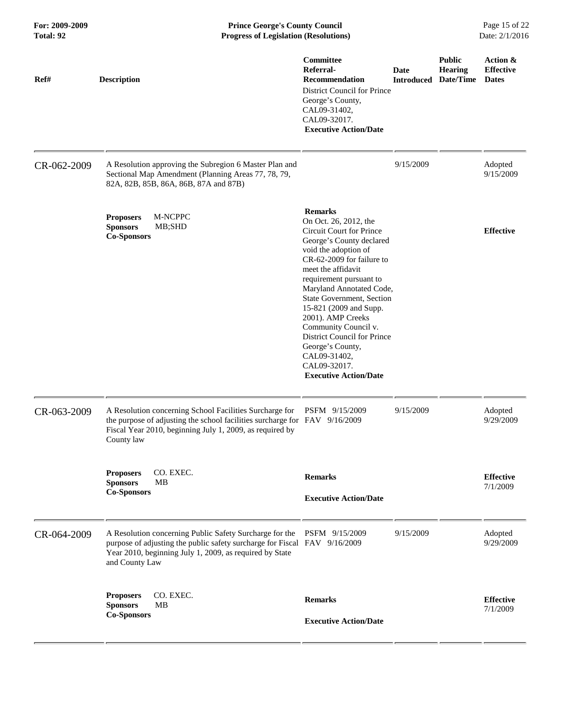| For: 2009-2009<br>Total: 92 | <b>Prince George's County Council</b><br>Date: 2/1/2016<br><b>Progress of Legislation (Resolutions)</b>                                                                                                           |                                                                                                                                                                                                                                                                                                                                                                                                                                                          |             |                                                         |                                              |
|-----------------------------|-------------------------------------------------------------------------------------------------------------------------------------------------------------------------------------------------------------------|----------------------------------------------------------------------------------------------------------------------------------------------------------------------------------------------------------------------------------------------------------------------------------------------------------------------------------------------------------------------------------------------------------------------------------------------------------|-------------|---------------------------------------------------------|----------------------------------------------|
| Ref#                        | <b>Description</b>                                                                                                                                                                                                | Committee<br>Referral-<br><b>Recommendation</b><br><b>District Council for Prince</b><br>George's County,<br>CAL09-31402,<br>CAL09-32017.<br><b>Executive Action/Date</b>                                                                                                                                                                                                                                                                                | <b>Date</b> | <b>Public</b><br>Hearing<br><b>Introduced Date/Time</b> | Action &<br><b>Effective</b><br><b>Dates</b> |
| CR-062-2009                 | A Resolution approving the Subregion 6 Master Plan and<br>Sectional Map Amendment (Planning Areas 77, 78, 79,<br>82A, 82B, 85B, 86A, 86B, 87A and 87B)                                                            |                                                                                                                                                                                                                                                                                                                                                                                                                                                          | 9/15/2009   |                                                         | Adopted<br>9/15/2009                         |
|                             | M-NCPPC<br><b>Proposers</b><br><b>Sponsors</b><br>MB;SHD<br><b>Co-Sponsors</b>                                                                                                                                    | <b>Remarks</b><br>On Oct. 26, 2012, the<br>Circuit Court for Prince<br>George's County declared<br>void the adoption of<br>CR-62-2009 for failure to<br>meet the affidavit<br>requirement pursuant to<br>Maryland Annotated Code,<br>State Government, Section<br>15-821 (2009 and Supp.<br>2001). AMP Creeks<br>Community Council v.<br>District Council for Prince<br>George's County,<br>CAL09-31402,<br>CAL09-32017.<br><b>Executive Action/Date</b> |             |                                                         | <b>Effective</b>                             |
| CR-063-2009                 | A Resolution concerning School Facilities Surcharge for<br>the purpose of adjusting the school facilities surcharge for FAV 9/16/2009<br>Fiscal Year 2010, beginning July 1, 2009, as required by<br>County law   | PSFM 9/15/2009                                                                                                                                                                                                                                                                                                                                                                                                                                           | 9/15/2009   |                                                         | Adopted<br>9/29/2009                         |
|                             | CO. EXEC.<br><b>Proposers</b><br><b>Sponsors</b><br>MВ<br><b>Co-Sponsors</b>                                                                                                                                      | <b>Remarks</b>                                                                                                                                                                                                                                                                                                                                                                                                                                           |             |                                                         | <b>Effective</b><br>7/1/2009                 |
|                             |                                                                                                                                                                                                                   | <b>Executive Action/Date</b>                                                                                                                                                                                                                                                                                                                                                                                                                             |             |                                                         |                                              |
| CR-064-2009                 | A Resolution concerning Public Safety Surcharge for the<br>purpose of adjusting the public safety surcharge for Fiscal FAV 9/16/2009<br>Year 2010, beginning July 1, 2009, as required by State<br>and County Law | PSFM 9/15/2009                                                                                                                                                                                                                                                                                                                                                                                                                                           | 9/15/2009   |                                                         | Adopted<br>9/29/2009                         |
|                             | CO. EXEC.<br><b>Proposers</b><br><b>Sponsors</b><br><b>MB</b><br><b>Co-Sponsors</b>                                                                                                                               | <b>Remarks</b><br><b>Executive Action/Date</b>                                                                                                                                                                                                                                                                                                                                                                                                           |             |                                                         | <b>Effective</b><br>7/1/2009                 |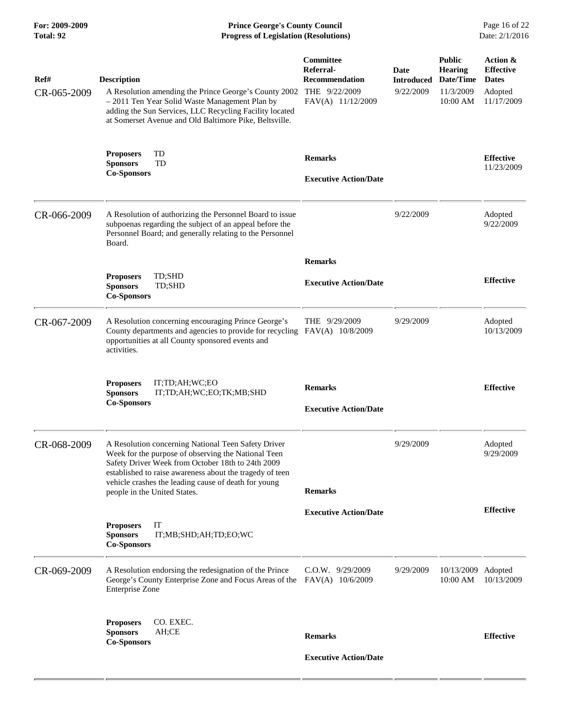**For: 2009-2009 Prince George's County Council** Page 16 of 22<br> **Formal Page 16 of 22**<br> **Progress of Legislation (Resolutions)** Date: 2/1/2016 **Total: 92 Progress of Legislation (Resolutions)** 

| Ref#<br>CR-065-2009 | <b>Description</b><br>A Resolution amending the Prince George's County 2002<br>- 2011 Ten Year Solid Waste Management Plan by<br>adding the Sun Services, LLC Recycling Facility located<br>at Somerset Avenue and Old Baltimore Pike, Beltsville.                                                                  | Committee<br>Referral-<br><b>Recommendation</b><br>THE 9/22/2009<br>FAV(A) 11/12/2009 | Date<br><b>Introduced</b><br>9/22/2009 | <b>Public</b><br><b>Hearing</b><br>Date/Time<br>11/3/2009<br>10:00 AM | Action &<br><b>Effective</b><br><b>Dates</b><br>Adopted<br>11/17/2009 |
|---------------------|---------------------------------------------------------------------------------------------------------------------------------------------------------------------------------------------------------------------------------------------------------------------------------------------------------------------|---------------------------------------------------------------------------------------|----------------------------------------|-----------------------------------------------------------------------|-----------------------------------------------------------------------|
|                     | TD<br><b>Proposers</b><br><b>Sponsors</b><br>TD<br><b>Co-Sponsors</b>                                                                                                                                                                                                                                               | <b>Remarks</b><br><b>Executive Action/Date</b>                                        |                                        |                                                                       | <b>Effective</b><br>11/23/2009                                        |
| CR-066-2009         | A Resolution of authorizing the Personnel Board to issue<br>subpoenas regarding the subject of an appeal before the<br>Personnel Board; and generally relating to the Personnel<br>Board.                                                                                                                           |                                                                                       | 9/22/2009                              |                                                                       | Adopted<br>9/22/2009                                                  |
|                     | <b>Proposers</b><br>TD;SHD<br>TD;SHD<br><b>Sponsors</b><br><b>Co-Sponsors</b>                                                                                                                                                                                                                                       | <b>Remarks</b><br><b>Executive Action/Date</b>                                        |                                        |                                                                       | <b>Effective</b>                                                      |
| CR-067-2009         | A Resolution concerning encouraging Prince George's<br>County departments and agencies to provide for recycling FAV(A) 10/8/2009<br>opportunities at all County sponsored events and<br>activities.                                                                                                                 | THE 9/29/2009                                                                         | 9/29/2009                              |                                                                       | Adopted<br>10/13/2009                                                 |
|                     | IT;TD;AH;WC;EO<br><b>Proposers</b><br><b>Sponsors</b><br>IT;TD;AH;WC;EO;TK;MB;SHD<br><b>Co-Sponsors</b>                                                                                                                                                                                                             | <b>Remarks</b><br><b>Executive Action/Date</b>                                        |                                        |                                                                       | <b>Effective</b>                                                      |
| CR-068-2009         | A Resolution concerning National Teen Safety Driver<br>Week for the purpose of observing the National Teen<br>Safety Driver Week from October 18th to 24th 2009<br>established to raise awareness about the tragedy of teen<br>vehicle crashes the leading cause of death for young<br>people in the United States. | <b>Remarks</b>                                                                        | 9/29/2009                              |                                                                       | Adopted<br>9/29/2009                                                  |
|                     | IT<br><b>Proposers</b><br><b>Sponsors</b><br>IT;MB;SHD;AH;TD;EO;WC<br><b>Co-Sponsors</b>                                                                                                                                                                                                                            | <b>Executive Action/Date</b>                                                          |                                        |                                                                       | <b>Effective</b>                                                      |
| CR-069-2009         | A Resolution endorsing the redesignation of the Prince<br>George's County Enterprise Zone and Focus Areas of the FAV(A) 10/6/2009<br><b>Enterprise Zone</b>                                                                                                                                                         | $C.O.W.$ 9/29/2009                                                                    | 9/29/2009                              | 10/13/2009 Adopted<br>10:00 AM                                        | 10/13/2009                                                            |
|                     | CO. EXEC.<br><b>Proposers</b><br><b>Sponsors</b><br>AH;CE<br><b>Co-Sponsors</b>                                                                                                                                                                                                                                     | <b>Remarks</b>                                                                        |                                        |                                                                       | <b>Effective</b>                                                      |
|                     |                                                                                                                                                                                                                                                                                                                     | <b>Executive Action/Date</b>                                                          |                                        |                                                                       |                                                                       |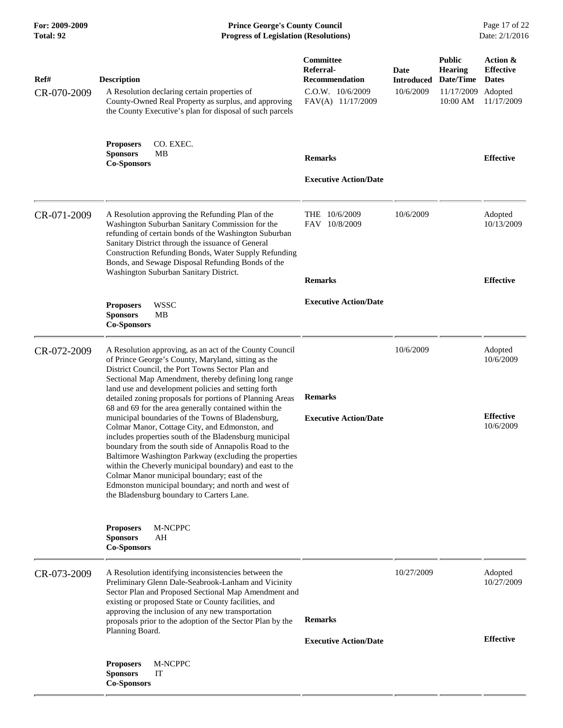**For: 2009-2009 Prince George's County Council** Page 17 of 22<br>**Progress of Legislation (Resolutions)** Date: 2/1/2016 **Total: 92 Progress of Legislation (Resolutions)** 

| Ref#<br>CR-070-2009 | <b>Description</b><br>A Resolution declaring certain properties of<br>County-Owned Real Property as surplus, and approving<br>the County Executive's plan for disposal of such parcels                                                                                                                                                                                                                                                                                                                                                                                                                                                                                                                                                                                                                                                                                                                    | <b>Committee</b><br>Referral-<br><b>Recommendation</b><br>$C.0.W.$ $10/6/2009$<br>FAV(A) 11/17/2009 | Date<br><b>Introduced</b><br>10/6/2009 | <b>Public</b><br><b>Hearing</b><br>Date/Time<br>11/17/2009<br>10:00 AM | Action &<br><b>Effective</b><br><b>Dates</b><br>Adopted<br>11/17/2009 |
|---------------------|-----------------------------------------------------------------------------------------------------------------------------------------------------------------------------------------------------------------------------------------------------------------------------------------------------------------------------------------------------------------------------------------------------------------------------------------------------------------------------------------------------------------------------------------------------------------------------------------------------------------------------------------------------------------------------------------------------------------------------------------------------------------------------------------------------------------------------------------------------------------------------------------------------------|-----------------------------------------------------------------------------------------------------|----------------------------------------|------------------------------------------------------------------------|-----------------------------------------------------------------------|
|                     | <b>Proposers</b><br>CO. EXEC.<br><b>Sponsors</b><br>MВ<br><b>Co-Sponsors</b>                                                                                                                                                                                                                                                                                                                                                                                                                                                                                                                                                                                                                                                                                                                                                                                                                              | <b>Remarks</b><br><b>Executive Action/Date</b>                                                      |                                        |                                                                        | <b>Effective</b>                                                      |
| CR-071-2009         | A Resolution approving the Refunding Plan of the<br>Washington Suburban Sanitary Commission for the<br>refunding of certain bonds of the Washington Suburban<br>Sanitary District through the issuance of General<br>Construction Refunding Bonds, Water Supply Refunding<br>Bonds, and Sewage Disposal Refunding Bonds of the<br>Washington Suburban Sanitary District.                                                                                                                                                                                                                                                                                                                                                                                                                                                                                                                                  | THE 10/6/2009<br>FAV 10/8/2009<br><b>Remarks</b>                                                    | 10/6/2009                              |                                                                        | Adopted<br>10/13/2009<br><b>Effective</b>                             |
|                     | <b>WSSC</b><br><b>Proposers</b><br><b>Sponsors</b><br>MВ<br><b>Co-Sponsors</b>                                                                                                                                                                                                                                                                                                                                                                                                                                                                                                                                                                                                                                                                                                                                                                                                                            | <b>Executive Action/Date</b>                                                                        |                                        |                                                                        |                                                                       |
| CR-072-2009         | A Resolution approving, as an act of the County Council<br>of Prince George's County, Maryland, sitting as the<br>District Council, the Port Towns Sector Plan and<br>Sectional Map Amendment, thereby defining long range<br>land use and development policies and setting forth<br>detailed zoning proposals for portions of Planning Areas<br>68 and 69 for the area generally contained within the<br>municipal boundaries of the Towns of Bladensburg,<br>Colmar Manor, Cottage City, and Edmonston, and<br>includes properties south of the Bladensburg municipal<br>boundary from the south side of Annapolis Road to the<br>Baltimore Washington Parkway (excluding the properties<br>within the Cheverly municipal boundary) and east to the<br>Colmar Manor municipal boundary; east of the<br>Edmonston municipal boundary; and north and west of<br>the Bladensburg boundary to Carters Lane. | <b>Remarks</b><br><b>Executive Action/Date</b>                                                      | 10/6/2009                              |                                                                        | Adopted<br>10/6/2009<br><b>Effective</b><br>10/6/2009                 |
|                     | <b>Proposers</b><br>M-NCPPC<br><b>Sponsors</b><br>AH<br><b>Co-Sponsors</b>                                                                                                                                                                                                                                                                                                                                                                                                                                                                                                                                                                                                                                                                                                                                                                                                                                |                                                                                                     |                                        |                                                                        |                                                                       |
| CR-073-2009         | A Resolution identifying inconsistencies between the<br>Preliminary Glenn Dale-Seabrook-Lanham and Vicinity<br>Sector Plan and Proposed Sectional Map Amendment and<br>existing or proposed State or County facilities, and<br>approving the inclusion of any new transportation<br>proposals prior to the adoption of the Sector Plan by the<br>Planning Board.                                                                                                                                                                                                                                                                                                                                                                                                                                                                                                                                          | <b>Remarks</b><br><b>Executive Action/Date</b>                                                      | 10/27/2009                             |                                                                        | Adopted<br>10/27/2009<br><b>Effective</b>                             |
|                     | M-NCPPC<br><b>Proposers</b><br><b>Sponsors</b><br>IT<br><b>Co-Sponsors</b>                                                                                                                                                                                                                                                                                                                                                                                                                                                                                                                                                                                                                                                                                                                                                                                                                                |                                                                                                     |                                        |                                                                        |                                                                       |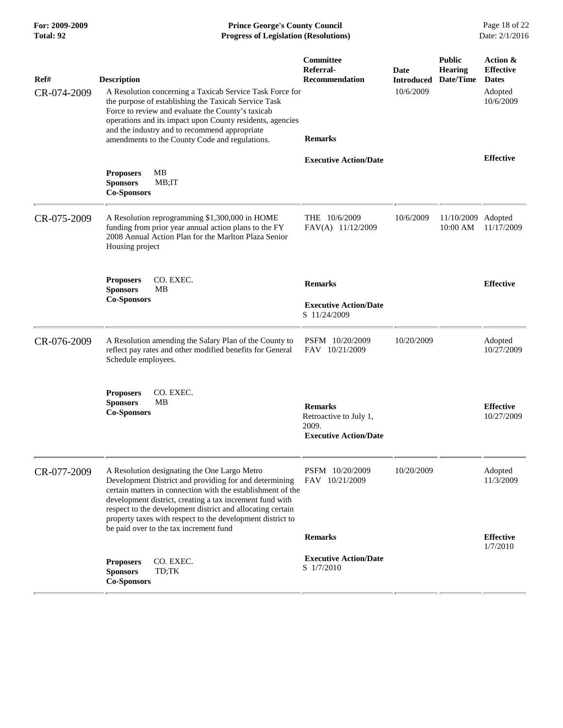**For: 2009-2009 Prince George's County Council** Page 18 of 22<br>**Progress of Legislation (Resolutions)** Date: 2/1/2016 **Total: 92 Progress of Legislation (Resolutions)** 

| Ref#<br>CR-074-2009 | <b>Description</b><br>A Resolution concerning a Taxicab Service Task Force for<br>the purpose of establishing the Taxicab Service Task<br>Force to review and evaluate the County's taxicab<br>operations and its impact upon County residents, agencies<br>and the industry and to recommend appropriate<br>amendments to the County Code and regulations.                                             | Committee<br>Referral-<br><b>Recommendation</b><br><b>Remarks</b>                 | Date<br><b>Introduced</b><br>10/6/2009 | <b>Public</b><br><b>Hearing</b><br>Date/Time | Action &<br><b>Effective</b><br><b>Dates</b><br>Adopted<br>10/6/2009 |
|---------------------|---------------------------------------------------------------------------------------------------------------------------------------------------------------------------------------------------------------------------------------------------------------------------------------------------------------------------------------------------------------------------------------------------------|-----------------------------------------------------------------------------------|----------------------------------------|----------------------------------------------|----------------------------------------------------------------------|
|                     | MB<br><b>Proposers</b><br><b>Sponsors</b><br>MB;IT<br><b>Co-Sponsors</b>                                                                                                                                                                                                                                                                                                                                | <b>Executive Action/Date</b>                                                      |                                        |                                              | <b>Effective</b>                                                     |
| CR-075-2009         | A Resolution reprogramming \$1,300,000 in HOME<br>funding from prior year annual action plans to the FY<br>2008 Annual Action Plan for the Marlton Plaza Senior<br>Housing project                                                                                                                                                                                                                      | THE 10/6/2009<br>FAV(A) 11/12/2009                                                | 10/6/2009                              | 11/10/2009 Adopted<br>10:00 AM               | 11/17/2009                                                           |
|                     | CO. EXEC.<br><b>Proposers</b><br><b>Sponsors</b><br>MВ<br><b>Co-Sponsors</b>                                                                                                                                                                                                                                                                                                                            | <b>Remarks</b><br><b>Executive Action/Date</b><br>S 11/24/2009                    |                                        |                                              | <b>Effective</b>                                                     |
| CR-076-2009         | A Resolution amending the Salary Plan of the County to<br>reflect pay rates and other modified benefits for General<br>Schedule employees.                                                                                                                                                                                                                                                              | PSFM 10/20/2009<br>FAV 10/21/2009                                                 | 10/20/2009                             |                                              | Adopted<br>10/27/2009                                                |
|                     | CO. EXEC.<br><b>Proposers</b><br><b>Sponsors</b><br>MВ<br><b>Co-Sponsors</b>                                                                                                                                                                                                                                                                                                                            | <b>Remarks</b><br>Retroactive to July 1,<br>2009.<br><b>Executive Action/Date</b> |                                        |                                              | <b>Effective</b><br>10/27/2009                                       |
| CR-077-2009         | A Resolution designating the One Largo Metro<br>Development District and providing for and determining<br>certain matters in connection with the establishment of the<br>development district, creating a tax increment fund with<br>respect to the development district and allocating certain<br>property taxes with respect to the development district to<br>be paid over to the tax increment fund | PSFM 10/20/2009<br>FAV 10/21/2009                                                 | 10/20/2009                             |                                              | Adopted<br>11/3/2009                                                 |
|                     | CO. EXEC.<br><b>Proposers</b><br><b>Sponsors</b><br>TD;TK<br><b>Co-Sponsors</b>                                                                                                                                                                                                                                                                                                                         | <b>Remarks</b><br><b>Executive Action/Date</b><br>S 1/7/2010                      |                                        |                                              | <b>Effective</b><br>1/7/2010                                         |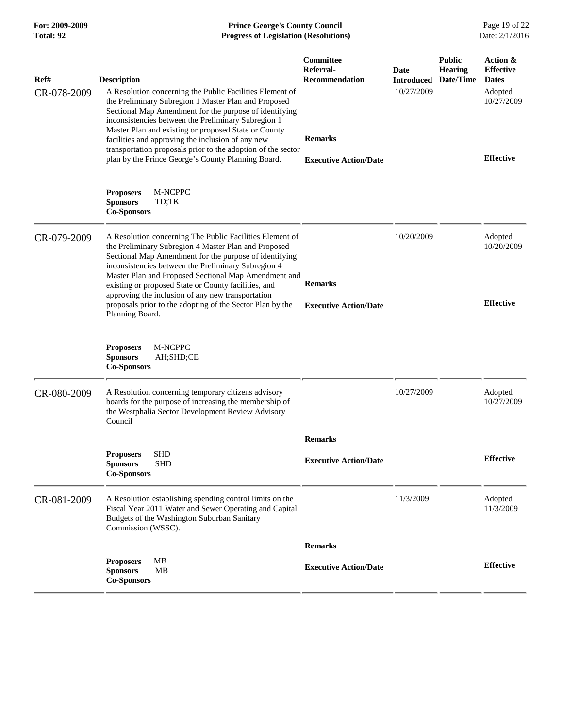| For: 2009-2009<br>Total: 92 | <b>Prince George's County Council</b><br><b>Progress of Legislation (Resolutions)</b>                                                                                                                                                                                                                                                             |                                                        |                                  |                                              | Page 19 of 22<br>Date: 2/1/2016              |
|-----------------------------|---------------------------------------------------------------------------------------------------------------------------------------------------------------------------------------------------------------------------------------------------------------------------------------------------------------------------------------------------|--------------------------------------------------------|----------------------------------|----------------------------------------------|----------------------------------------------|
| Ref#                        | <b>Description</b>                                                                                                                                                                                                                                                                                                                                | <b>Committee</b><br>Referral-<br><b>Recommendation</b> | <b>Date</b><br><b>Introduced</b> | <b>Public</b><br><b>Hearing</b><br>Date/Time | Action &<br><b>Effective</b><br><b>Dates</b> |
| CR-078-2009                 | A Resolution concerning the Public Facilities Element of<br>the Preliminary Subregion 1 Master Plan and Proposed<br>Sectional Map Amendment for the purpose of identifying<br>inconsistencies between the Preliminary Subregion 1<br>Master Plan and existing or proposed State or County<br>facilities and approving the inclusion of any new    | <b>Remarks</b>                                         | 10/27/2009                       |                                              | Adopted<br>10/27/2009                        |
|                             | transportation proposals prior to the adoption of the sector<br>plan by the Prince George's County Planning Board.                                                                                                                                                                                                                                | <b>Executive Action/Date</b>                           |                                  |                                              | <b>Effective</b>                             |
|                             | M-NCPPC<br><b>Proposers</b><br><b>Sponsors</b><br>TD;TK<br><b>Co-Sponsors</b>                                                                                                                                                                                                                                                                     |                                                        |                                  |                                              |                                              |
| CR-079-2009                 | A Resolution concerning The Public Facilities Element of<br>the Preliminary Subregion 4 Master Plan and Proposed<br>Sectional Map Amendment for the purpose of identifying<br>inconsistencies between the Preliminary Subregion 4<br>Master Plan and Proposed Sectional Map Amendment and<br>existing or proposed State or County facilities, and | <b>Remarks</b>                                         | 10/20/2009                       |                                              | Adopted<br>10/20/2009                        |
|                             | approving the inclusion of any new transportation<br>proposals prior to the adopting of the Sector Plan by the<br>Planning Board.                                                                                                                                                                                                                 | <b>Executive Action/Date</b>                           |                                  |                                              | <b>Effective</b>                             |
|                             | M-NCPPC<br><b>Proposers</b><br><b>Sponsors</b><br>AH;SHD;CE<br><b>Co-Sponsors</b>                                                                                                                                                                                                                                                                 |                                                        |                                  |                                              |                                              |
| CR-080-2009                 | A Resolution concerning temporary citizens advisory<br>boards for the purpose of increasing the membership of<br>the Westphalia Sector Development Review Advisory<br>Council                                                                                                                                                                     |                                                        | 10/27/2009                       |                                              | Adopted<br>10/27/2009                        |
|                             |                                                                                                                                                                                                                                                                                                                                                   | <b>Remarks</b>                                         |                                  |                                              |                                              |
|                             | <b>SHD</b><br><b>Proposers</b><br><b>Sponsors</b><br><b>SHD</b><br><b>Co-Sponsors</b>                                                                                                                                                                                                                                                             | <b>Executive Action/Date</b>                           |                                  |                                              | <b>Effective</b>                             |
| CR-081-2009                 | A Resolution establishing spending control limits on the<br>Fiscal Year 2011 Water and Sewer Operating and Capital<br>Budgets of the Washington Suburban Sanitary<br>Commission (WSSC).                                                                                                                                                           |                                                        | 11/3/2009                        |                                              | Adopted<br>11/3/2009                         |
|                             |                                                                                                                                                                                                                                                                                                                                                   | <b>Remarks</b>                                         |                                  |                                              |                                              |
|                             | MB<br><b>Proposers</b><br>MB<br><b>Sponsors</b><br><b>Co-Sponsors</b>                                                                                                                                                                                                                                                                             | <b>Executive Action/Date</b>                           |                                  |                                              | <b>Effective</b>                             |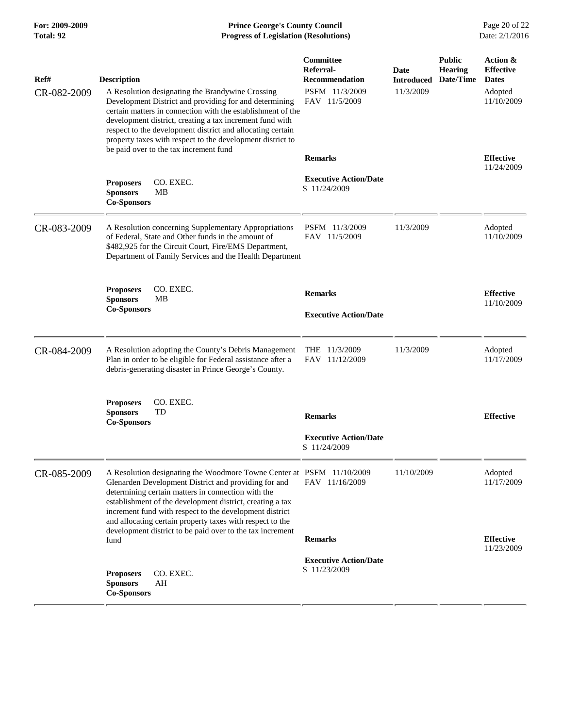**For: 2009-2009 Prince George's County Council** Page 20 of 22<br>**Progress of Legislation (Resolutions)** Date: 2/1/2016 **Total: 92 Progress of Legislation (Resolutions)** 

| Ref#<br>CR-082-2009 | <b>Description</b><br>A Resolution designating the Brandywine Crossing<br>Development District and providing for and determining<br>certain matters in connection with the establishment of the<br>development district, creating a tax increment fund with                                                                                                                                                                           | Committee<br>Referral-<br><b>Recommendation</b><br>PSFM 11/3/2009<br>FAV 11/5/2009 | Date<br><b>Introduced</b><br>11/3/2009 | <b>Public</b><br><b>Hearing</b><br>Date/Time | Action &<br><b>Effective</b><br><b>Dates</b><br>Adopted<br>11/10/2009 |
|---------------------|---------------------------------------------------------------------------------------------------------------------------------------------------------------------------------------------------------------------------------------------------------------------------------------------------------------------------------------------------------------------------------------------------------------------------------------|------------------------------------------------------------------------------------|----------------------------------------|----------------------------------------------|-----------------------------------------------------------------------|
|                     | respect to the development district and allocating certain<br>property taxes with respect to the development district to<br>be paid over to the tax increment fund                                                                                                                                                                                                                                                                    | <b>Remarks</b>                                                                     |                                        |                                              | <b>Effective</b><br>11/24/2009                                        |
|                     | <b>Proposers</b><br>CO. EXEC.<br><b>Sponsors</b><br>MВ<br><b>Co-Sponsors</b>                                                                                                                                                                                                                                                                                                                                                          | <b>Executive Action/Date</b><br>S 11/24/2009                                       |                                        |                                              |                                                                       |
| CR-083-2009         | A Resolution concerning Supplementary Appropriations<br>of Federal, State and Other funds in the amount of<br>\$482,925 for the Circuit Court, Fire/EMS Department,<br>Department of Family Services and the Health Department                                                                                                                                                                                                        | PSFM 11/3/2009<br>FAV 11/5/2009                                                    | 11/3/2009                              |                                              | Adopted<br>11/10/2009                                                 |
|                     | CO. EXEC.<br><b>Proposers</b><br><b>Sponsors</b><br><b>MB</b><br><b>Co-Sponsors</b>                                                                                                                                                                                                                                                                                                                                                   | <b>Remarks</b><br><b>Executive Action/Date</b>                                     |                                        |                                              | <b>Effective</b><br>11/10/2009                                        |
| CR-084-2009         | A Resolution adopting the County's Debris Management<br>Plan in order to be eligible for Federal assistance after a<br>debris-generating disaster in Prince George's County.                                                                                                                                                                                                                                                          | THE 11/3/2009<br>FAV 11/12/2009                                                    | 11/3/2009                              |                                              | Adopted<br>11/17/2009                                                 |
|                     | CO. EXEC.<br><b>Proposers</b><br><b>Sponsors</b><br>TD<br><b>Co-Sponsors</b>                                                                                                                                                                                                                                                                                                                                                          | <b>Remarks</b><br><b>Executive Action/Date</b><br>S 11/24/2009                     |                                        |                                              | <b>Effective</b>                                                      |
| CR-085-2009         | A Resolution designating the Woodmore Towne Center at PSFM 11/10/2009<br>Glenarden Development District and providing for and<br>determining certain matters in connection with the<br>establishment of the development district, creating a tax<br>increment fund with respect to the development district<br>and allocating certain property taxes with respect to the<br>development district to be paid over to the tax increment | FAV 11/16/2009                                                                     | 11/10/2009                             |                                              | Adopted<br>11/17/2009                                                 |
|                     | fund                                                                                                                                                                                                                                                                                                                                                                                                                                  | <b>Remarks</b><br><b>Executive Action/Date</b>                                     |                                        |                                              | <b>Effective</b><br>11/23/2009                                        |
|                     | CO. EXEC.<br><b>Proposers</b><br><b>Sponsors</b><br>AH<br><b>Co-Sponsors</b>                                                                                                                                                                                                                                                                                                                                                          | S 11/23/2009                                                                       |                                        |                                              |                                                                       |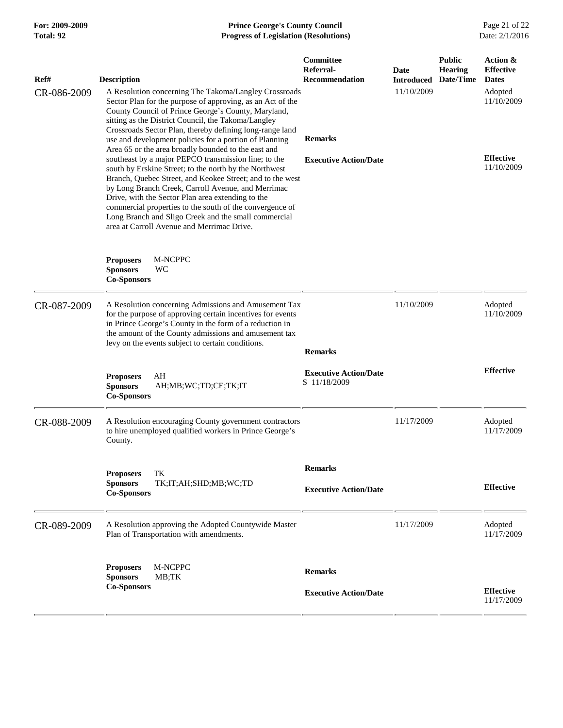## **For: 2009-2009 Prince George's County Council** Page 21 of 22<br>**Progress of Legislation (Resolutions)** Date: 2/1/2016 **Total: 92 Progress of Legislation (Resolutions)**

| Ref#        | <b>Description</b>                                                                                                                                                                                                                                                                                                                                                                                                                                                                                              | Committee<br>Referral-<br>Recommendation     | Date<br><b>Introduced</b> | <b>Public</b><br><b>Hearing</b><br>Date/Time | Action &<br><b>Effective</b><br><b>Dates</b> |
|-------------|-----------------------------------------------------------------------------------------------------------------------------------------------------------------------------------------------------------------------------------------------------------------------------------------------------------------------------------------------------------------------------------------------------------------------------------------------------------------------------------------------------------------|----------------------------------------------|---------------------------|----------------------------------------------|----------------------------------------------|
| CR-086-2009 | A Resolution concerning The Takoma/Langley Crossroads<br>Sector Plan for the purpose of approving, as an Act of the<br>County Council of Prince George's County, Maryland,<br>sitting as the District Council, the Takoma/Langley                                                                                                                                                                                                                                                                               |                                              | 11/10/2009                |                                              | Adopted<br>11/10/2009                        |
|             | Crossroads Sector Plan, thereby defining long-range land<br>use and development policies for a portion of Planning                                                                                                                                                                                                                                                                                                                                                                                              | <b>Remarks</b>                               |                           |                                              |                                              |
|             | Area 65 or the area broadly bounded to the east and<br>southeast by a major PEPCO transmission line; to the<br>south by Erskine Street; to the north by the Northwest<br>Branch, Quebec Street, and Keokee Street; and to the west<br>by Long Branch Creek, Carroll Avenue, and Merrimac<br>Drive, with the Sector Plan area extending to the<br>commercial properties to the south of the convergence of<br>Long Branch and Sligo Creek and the small commercial<br>area at Carroll Avenue and Merrimac Drive. | <b>Executive Action/Date</b>                 |                           | <b>Effective</b><br>11/10/2009               |                                              |
|             | <b>Proposers</b><br>M-NCPPC<br><b>Sponsors</b><br>WC<br><b>Co-Sponsors</b>                                                                                                                                                                                                                                                                                                                                                                                                                                      |                                              |                           |                                              |                                              |
| CR-087-2009 | A Resolution concerning Admissions and Amusement Tax<br>for the purpose of approving certain incentives for events<br>in Prince George's County in the form of a reduction in<br>the amount of the County admissions and amusement tax<br>levy on the events subject to certain conditions.                                                                                                                                                                                                                     | <b>Remarks</b>                               | 11/10/2009                |                                              | Adopted<br>11/10/2009                        |
|             | AH<br><b>Proposers</b><br><b>Sponsors</b><br>AH;MB;WC;TD;CE;TK;IT<br><b>Co-Sponsors</b>                                                                                                                                                                                                                                                                                                                                                                                                                         | <b>Executive Action/Date</b><br>S 11/18/2009 |                           |                                              | <b>Effective</b>                             |
| CR-088-2009 | A Resolution encouraging County government contractors<br>to hire unemployed qualified workers in Prince George's<br>County.                                                                                                                                                                                                                                                                                                                                                                                    |                                              | 11/17/2009                |                                              | Adopted<br>11/17/2009                        |
|             | TK<br><b>Proposers</b>                                                                                                                                                                                                                                                                                                                                                                                                                                                                                          | <b>Remarks</b>                               |                           |                                              |                                              |
|             | <b>Sponsors</b><br>TK;IT;AH;SHD;MB;WC;TD<br><b>Co-Sponsors</b>                                                                                                                                                                                                                                                                                                                                                                                                                                                  | <b>Executive Action/Date</b>                 |                           |                                              | <b>Effective</b>                             |
| CR-089-2009 | A Resolution approving the Adopted Countywide Master<br>Plan of Transportation with amendments.                                                                                                                                                                                                                                                                                                                                                                                                                 |                                              | 11/17/2009                |                                              | Adopted<br>11/17/2009                        |
|             | M-NCPPC<br><b>Proposers</b><br><b>Sponsors</b><br>MB:TK                                                                                                                                                                                                                                                                                                                                                                                                                                                         | <b>Remarks</b>                               |                           |                                              |                                              |
|             | <b>Co-Sponsors</b>                                                                                                                                                                                                                                                                                                                                                                                                                                                                                              | <b>Executive Action/Date</b>                 |                           |                                              | <b>Effective</b><br>11/17/2009               |